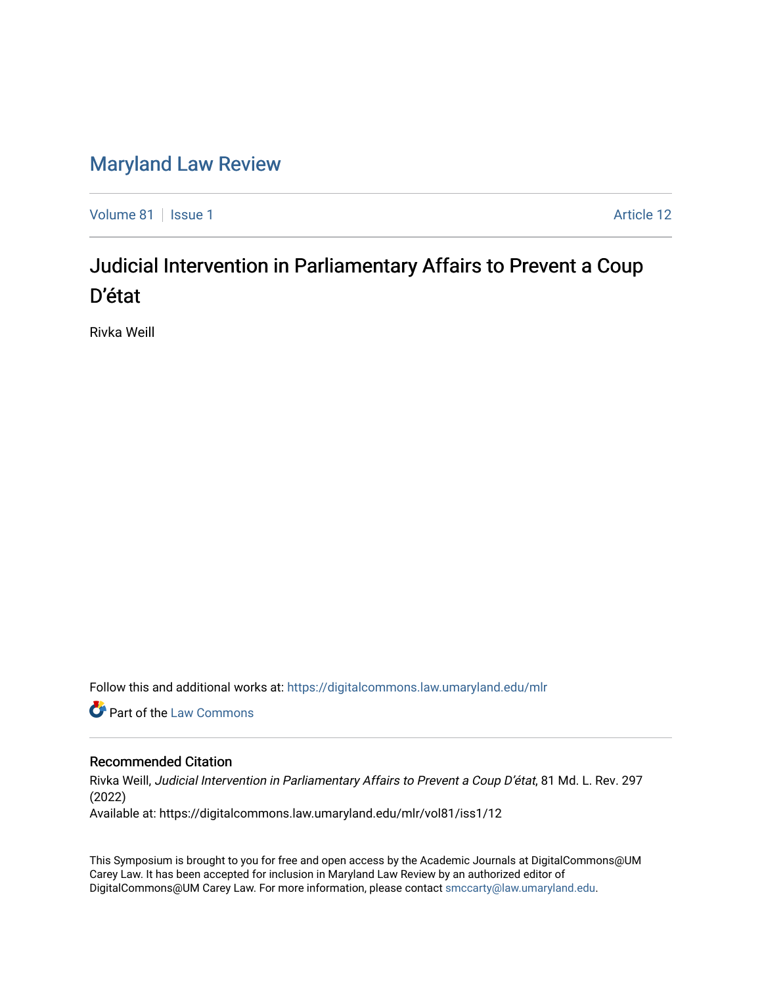# [Maryland Law Review](https://digitalcommons.law.umaryland.edu/mlr)

[Volume 81](https://digitalcommons.law.umaryland.edu/mlr/vol81) | [Issue 1](https://digitalcommons.law.umaryland.edu/mlr/vol81/iss1) Article 12

# Judicial Intervention in Parliamentary Affairs to Prevent a Coup D'état

Rivka Weill

Follow this and additional works at: [https://digitalcommons.law.umaryland.edu/mlr](https://digitalcommons.law.umaryland.edu/mlr?utm_source=digitalcommons.law.umaryland.edu%2Fmlr%2Fvol81%2Fiss1%2F12&utm_medium=PDF&utm_campaign=PDFCoverPages)

**Part of the [Law Commons](http://network.bepress.com/hgg/discipline/578?utm_source=digitalcommons.law.umaryland.edu%2Fmlr%2Fvol81%2Fiss1%2F12&utm_medium=PDF&utm_campaign=PDFCoverPages)** 

# Recommended Citation

Rivka Weill, Judicial Intervention in Parliamentary Affairs to Prevent a Coup D'état, 81 Md. L. Rev. 297 (2022)

Available at: https://digitalcommons.law.umaryland.edu/mlr/vol81/iss1/12

This Symposium is brought to you for free and open access by the Academic Journals at DigitalCommons@UM Carey Law. It has been accepted for inclusion in Maryland Law Review by an authorized editor of DigitalCommons@UM Carey Law. For more information, please contact [smccarty@law.umaryland.edu.](mailto:smccarty@law.umaryland.edu)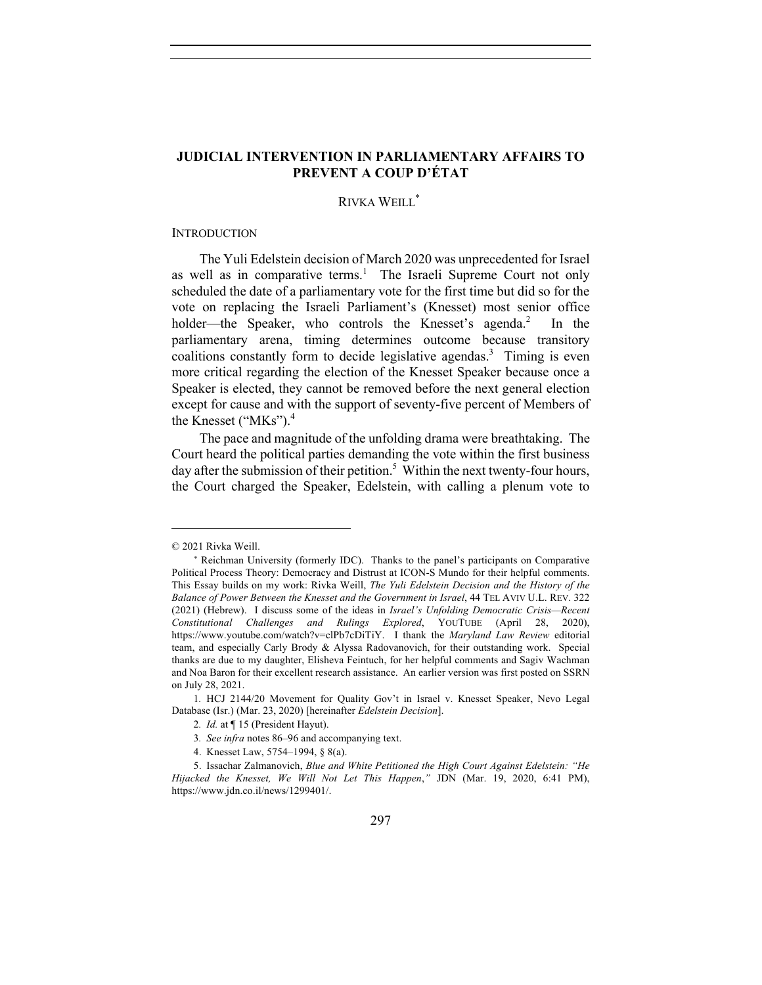## **JUDICIAL INTERVENTION IN PARLIAMENTARY AFFAIRS TO PREVENT A COUP D'ÉTAT**

## RIVKA WEILL<sup>\*</sup>

#### **INTRODUCTION**

The Yuli Edelstein decision of March 2020 was unprecedented for Israel as well as in comparative terms.<sup>1</sup> The Israeli Supreme Court not only scheduled the date of a parliamentary vote for the first time but did so for the vote on replacing the Israeli Parliament's (Knesset) most senior office holder—the Speaker, who controls the Knesset's agenda.<sup>2</sup> In the parliamentary arena, timing determines outcome because transitory coalitions constantly form to decide legislative agendas.<sup>3</sup> Timing is even more critical regarding the election of the Knesset Speaker because once a Speaker is elected, they cannot be removed before the next general election except for cause and with the support of seventy-five percent of Members of the Knesset ("MKs").<sup>4</sup>

The pace and magnitude of the unfolding drama were breathtaking. The Court heard the political parties demanding the vote within the first business day after the submission of their petition.<sup>5</sup> Within the next twenty-four hours, the Court charged the Speaker, Edelstein, with calling a plenum vote to

<sup>© 2021</sup> Rivka Weill.

<sup>\*</sup> Reichman University (formerly IDC). Thanks to the panel's participants on Comparative Political Process Theory: Democracy and Distrust at ICON-S Mundo for their helpful comments. This Essay builds on my work: Rivka Weill, *The Yuli Edelstein Decision and the History of the Balance of Power Between the Knesset and the Government in Israel*, 44 TEL AVIV U.L. REV. 322 (2021) (Hebrew). I discuss some of the ideas in *Israel's Unfolding Democratic Crisis—Recent Constitutional Challenges and Rulings Explored*, YOUTUBE (April 28, 2020), https://www.youtube.com/watch?v=clPb7cDiTiY. I thank the *Maryland Law Review* editorial team, and especially Carly Brody & Alyssa Radovanovich, for their outstanding work. Special thanks are due to my daughter, Elisheva Feintuch, for her helpful comments and Sagiv Wachman and Noa Baron for their excellent research assistance. An earlier version was first posted on SSRN on July 28, 2021.

<sup>1</sup>*.* HCJ 2144/20 Movement for Quality Gov't in Israel v. Knesset Speaker, Nevo Legal Database (Isr.) (Mar. 23, 2020) [hereinafter *Edelstein Decision*].

<sup>2</sup>*. Id.* at ¶ 15 (President Hayut).

<sup>3</sup>*. See infra* notes 86–96 and accompanying text.

<sup>4.</sup> Knesset Law, 5754–1994, § 8(a).

<sup>5.</sup> Issachar Zalmanovich, *Blue and White Petitioned the High Court Against Edelstein: "He Hijacked the Knesset, We Will Not Let This Happen*,*"* JDN (Mar. 19, 2020, 6:41 PM), https://www.jdn.co.il/news/1299401/.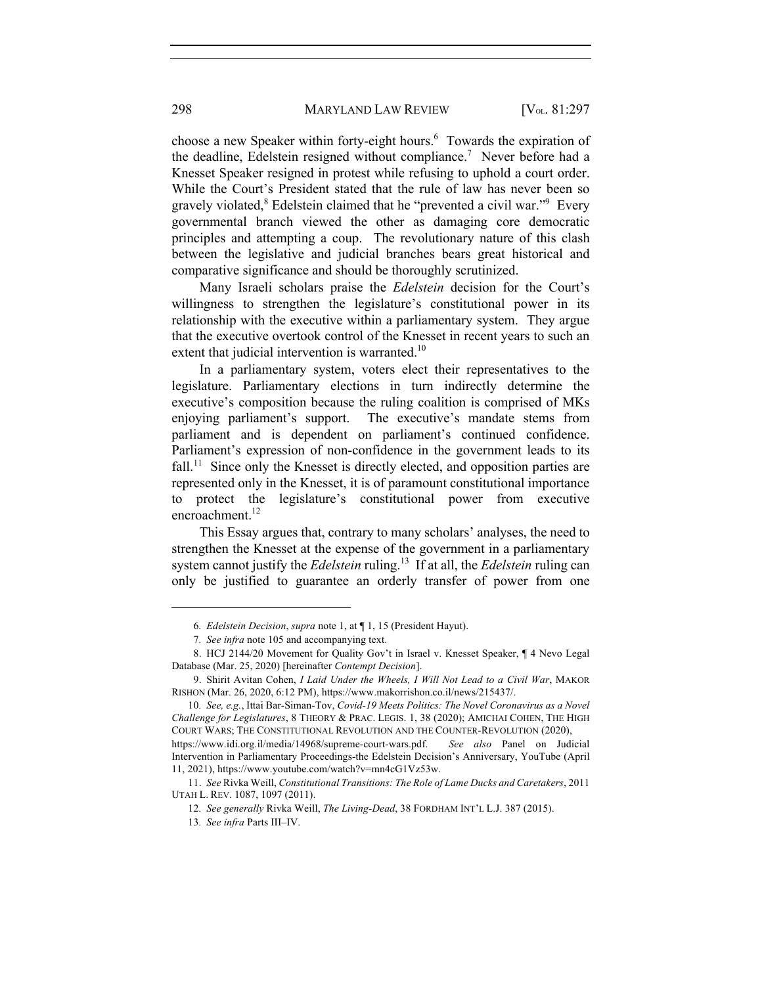choose a new Speaker within forty-eight hours.<sup>6</sup> Towards the expiration of the deadline, Edelstein resigned without compliance.<sup>7</sup> Never before had a Knesset Speaker resigned in protest while refusing to uphold a court order. While the Court's President stated that the rule of law has never been so gravely violated, <sup>8</sup> Edelstein claimed that he "prevented a civil war." Every governmental branch viewed the other as damaging core democratic principles and attempting a coup. The revolutionary nature of this clash between the legislative and judicial branches bears great historical and comparative significance and should be thoroughly scrutinized.

Many Israeli scholars praise the *Edelstein* decision for the Court's willingness to strengthen the legislature's constitutional power in its relationship with the executive within a parliamentary system. They argue that the executive overtook control of the Knesset in recent years to such an extent that judicial intervention is warranted.<sup>10</sup>

In a parliamentary system, voters elect their representatives to the legislature. Parliamentary elections in turn indirectly determine the executive's composition because the ruling coalition is comprised of MKs enjoying parliament's support. The executive's mandate stems from parliament and is dependent on parliament's continued confidence. Parliament's expression of non-confidence in the government leads to its fall.<sup>11</sup> Since only the Knesset is directly elected, and opposition parties are represented only in the Knesset, it is of paramount constitutional importance to protect the legislature's constitutional power from executive encroachment. $^{12}$ 

This Essay argues that, contrary to many scholars' analyses, the need to strengthen the Knesset at the expense of the government in a parliamentary system cannot justify the *Edelstein* ruling.13 If at all, the *Edelstein* ruling can only be justified to guarantee an orderly transfer of power from one

<sup>6</sup>*. Edelstein Decision*, *supra* note 1, at ¶ 1, 15 (President Hayut).

<sup>7</sup>*. See infra* note 105 and accompanying text.

<sup>8.</sup> HCJ 2144/20 Movement for Quality Gov't in Israel v. Knesset Speaker, ¶ 4 Nevo Legal Database (Mar. 25, 2020) [hereinafter *Contempt Decision*].

<sup>9.</sup> Shirit Avitan Cohen, *I Laid Under the Wheels, I Will Not Lead to a Civil War*, MAKOR RISHON (Mar. 26, 2020, 6:12 PM), https://www.makorrishon.co.il/news/215437/.

<sup>10</sup>*. See, e.g.*, Ittai Bar-Siman-Tov, *Covid-19 Meets Politics: The Novel Coronavirus as a Novel Challenge for Legislatures*, 8 THEORY & PRAC. LEGIS. 1, 38 (2020); AMICHAI COHEN, THE HIGH COURT WARS; THE CONSTITUTIONAL REVOLUTION AND THE COUNTER-REVOLUTION (2020),

https://www.idi.org.il/media/14968/supreme-court-wars.pdf. *See also* Panel on Judicial Intervention in Parliamentary Proceedings-the Edelstein Decision's Anniversary, YouTube (April 11, 2021), https://www.youtube.com/watch?v=mn4cG1Vz53w.

<sup>11.</sup> *See* Rivka Weill, *Constitutional Transitions: The Role of Lame Ducks and Caretakers*, 2011 UTAH L. REV. 1087, 1097 (2011).

<sup>12</sup>*. See generally* Rivka Weill, *The Living-Dead*, 38 FORDHAM INT'L L.J. 387 (2015).

<sup>13</sup>*. See infra* Parts III–IV.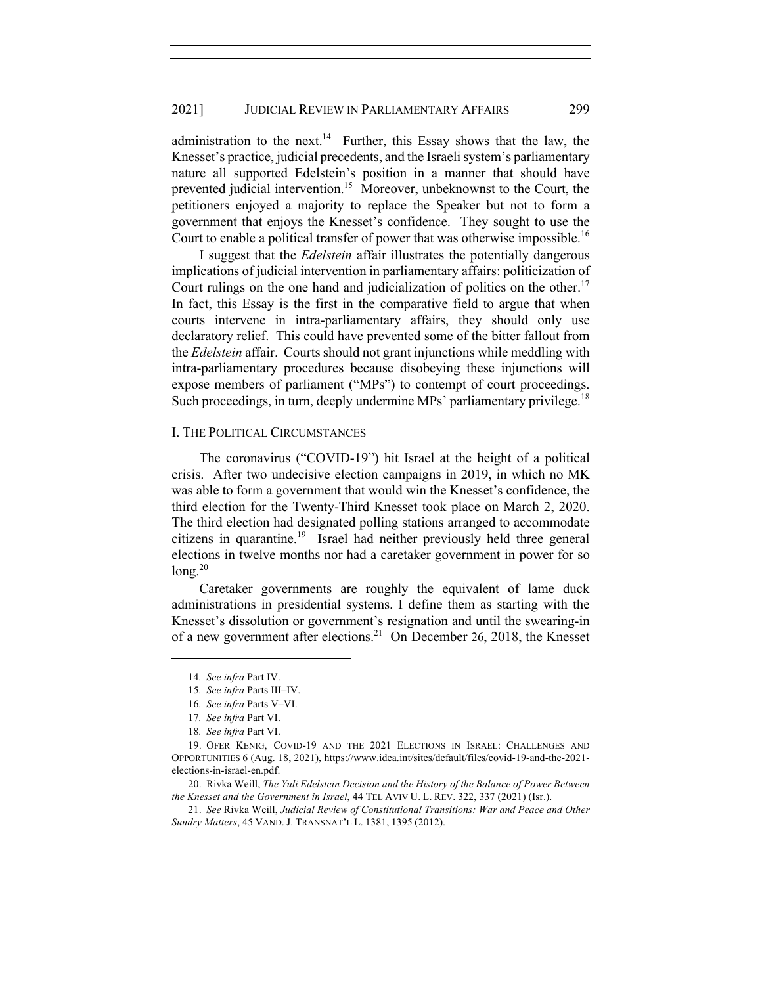administration to the next.<sup>14</sup> Further, this Essay shows that the law, the Knesset's practice, judicial precedents, and the Israeli system's parliamentary nature all supported Edelstein's position in a manner that should have prevented judicial intervention.<sup>15</sup> Moreover, unbeknownst to the Court, the petitioners enjoyed a majority to replace the Speaker but not to form a government that enjoys the Knesset's confidence. They sought to use the Court to enable a political transfer of power that was otherwise impossible.<sup>16</sup>

I suggest that the *Edelstein* affair illustrates the potentially dangerous implications of judicial intervention in parliamentary affairs: politicization of Court rulings on the one hand and judicialization of politics on the other.<sup>17</sup> In fact, this Essay is the first in the comparative field to argue that when courts intervene in intra-parliamentary affairs, they should only use declaratory relief. This could have prevented some of the bitter fallout from the *Edelstein* affair. Courts should not grant injunctions while meddling with intra-parliamentary procedures because disobeying these injunctions will expose members of parliament ("MPs") to contempt of court proceedings. Such proceedings, in turn, deeply undermine MPs' parliamentary privilege.<sup>18</sup>

#### I. THE POLITICAL CIRCUMSTANCES

The coronavirus ("COVID-19") hit Israel at the height of a political crisis. After two undecisive election campaigns in 2019, in which no MK was able to form a government that would win the Knesset's confidence, the third election for the Twenty-Third Knesset took place on March 2, 2020. The third election had designated polling stations arranged to accommodate citizens in quarantine.19 Israel had neither previously held three general elections in twelve months nor had a caretaker government in power for so  $long.<sup>20</sup>$ 

Caretaker governments are roughly the equivalent of lame duck administrations in presidential systems. I define them as starting with the Knesset's dissolution or government's resignation and until the swearing-in of a new government after elections.<sup>21</sup> On December 26, 2018, the Knesset

<sup>14</sup>*. See infra* Part IV.

<sup>15</sup>*. See infra* Parts III–IV.

<sup>16</sup>*. See infra* Parts V–VI.

<sup>17</sup>*. See infra* Part VI.

<sup>18</sup>*. See infra* Part VI.

<sup>19.</sup> OFER KENIG, COVID-19 AND THE 2021 ELECTIONS IN ISRAEL: CHALLENGES AND OPPORTUNITIES 6 (Aug. 18, 2021), https://www.idea.int/sites/default/files/covid-19-and-the-2021 elections-in-israel-en.pdf.

<sup>20.</sup> Rivka Weill, *The Yuli Edelstein Decision and the History of the Balance of Power Between the Knesset and the Government in Israel*, 44 TEL AVIV U. L. REV. 322, 337 (2021) (Isr.).

<sup>21.</sup> *See* Rivka Weill, *Judicial Review of Constitutional Transitions: War and Peace and Other Sundry Matters*, 45 VAND. J. TRANSNAT'L L. 1381, 1395 (2012).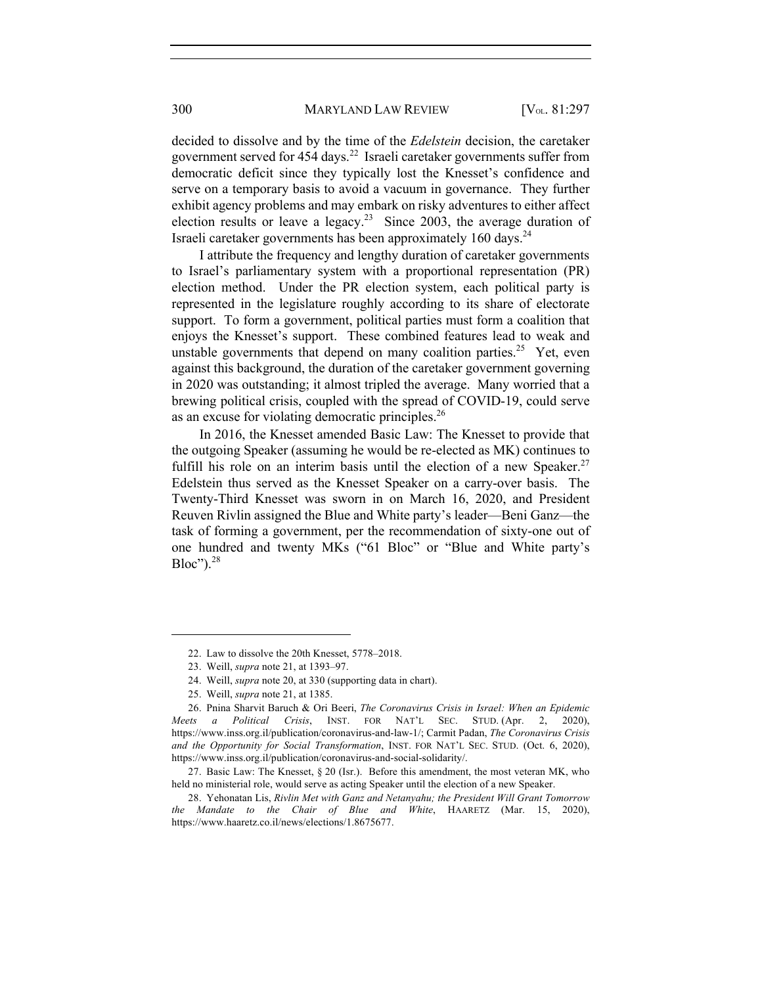#### 300 MARYLAND LAW REVIEW [V<sub>OL.</sub> 81:297

decided to dissolve and by the time of the *Edelstein* decision, the caretaker government served for  $454$  days.<sup>22</sup> Israeli caretaker governments suffer from democratic deficit since they typically lost the Knesset's confidence and serve on a temporary basis to avoid a vacuum in governance. They further exhibit agency problems and may embark on risky adventures to either affect election results or leave a legacy.<sup>23</sup> Since 2003, the average duration of Israeli caretaker governments has been approximately 160 days.<sup>24</sup>

I attribute the frequency and lengthy duration of caretaker governments to Israel's parliamentary system with a proportional representation (PR) election method. Under the PR election system, each political party is represented in the legislature roughly according to its share of electorate support. To form a government, political parties must form a coalition that enjoys the Knesset's support. These combined features lead to weak and unstable governments that depend on many coalition parties.<sup>25</sup> Yet, even against this background, the duration of the caretaker government governing in 2020 was outstanding; it almost tripled the average. Many worried that a brewing political crisis, coupled with the spread of COVID-19, could serve as an excuse for violating democratic principles.<sup>26</sup>

In 2016, the Knesset amended Basic Law: The Knesset to provide that the outgoing Speaker (assuming he would be re-elected as MK) continues to fulfill his role on an interim basis until the election of a new Speaker.<sup>27</sup> Edelstein thus served as the Knesset Speaker on a carry-over basis. The Twenty-Third Knesset was sworn in on March 16, 2020, and President Reuven Rivlin assigned the Blue and White party's leader—Beni Ganz—the task of forming a government, per the recommendation of sixty-one out of one hundred and twenty MKs ("61 Bloc" or "Blue and White party's  $Bloc"$ ).<sup>28</sup>

<sup>22.</sup> Law to dissolve the 20th Knesset, 5778–2018.

<sup>23.</sup> Weill, *supra* note 21, at 1393–97.

<sup>24.</sup> Weill, *supra* note 20, at 330 (supporting data in chart).

<sup>25.</sup> Weill, *supra* note 21, at 1385.

<sup>26.</sup> Pnina Sharvit Baruch & Ori Beeri, *The Coronavirus Crisis in Israel: When an Epidemic Meets a Political Crisis*, INST. FOR NAT'L SEC. STUD. (Apr. 2, 2020), https://www.inss.org.il/publication/coronavirus-and-law-1/; Carmit Padan, *The Coronavirus Crisis and the Opportunity for Social Transformation*, INST. FOR NAT'L SEC. STUD. (Oct. 6, 2020), https://www.inss.org.il/publication/coronavirus-and-social-solidarity/.

<sup>27.</sup> Basic Law: The Knesset, § 20 (Isr.). Before this amendment, the most veteran MK, who held no ministerial role, would serve as acting Speaker until the election of a new Speaker.

<sup>28.</sup> Yehonatan Lis, *Rivlin Met with Ganz and Netanyahu; the President Will Grant Tomorrow the Mandate to the Chair of Blue and White*, HAARETZ (Mar. 15, 2020), https://www.haaretz.co.il/news/elections/1.8675677.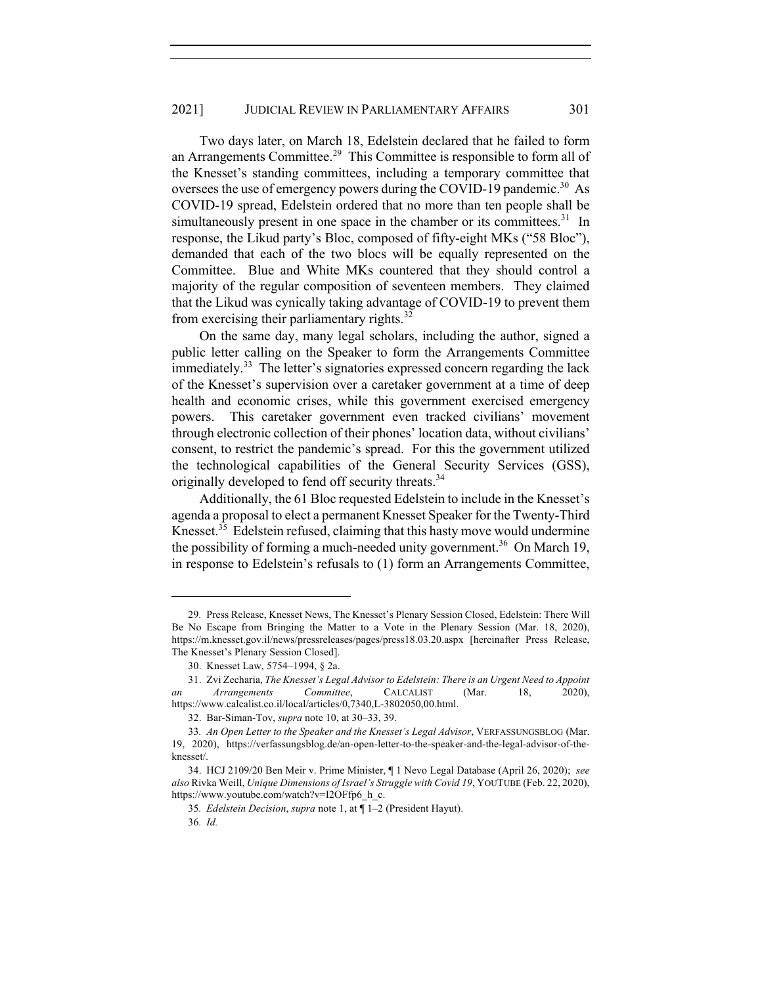Two days later, on March 18, Edelstein declared that he failed to form an Arrangements Committee.<sup>29</sup> This Committee is responsible to form all of the Knesset's standing committees, including a temporary committee that oversees the use of emergency powers during the COVID-19 pandemic.<sup>30</sup> As COVID-19 spread, Edelstein ordered that no more than ten people shall be simultaneously present in one space in the chamber or its committees.<sup>31</sup> In response, the Likud party's Bloc, composed of fifty-eight MKs ("58 Bloc"), demanded that each of the two blocs will be equally represented on the Committee. Blue and White MKs countered that they should control a majority of the regular composition of seventeen members. They claimed that the Likud was cynically taking advantage of COVID-19 to prevent them from exercising their parliamentary rights. $32$ 

On the same day, many legal scholars, including the author, signed a public letter calling on the Speaker to form the Arrangements Committee immediately.<sup>33</sup> The letter's signatories expressed concern regarding the lack of the Knesset's supervision over a caretaker government at a time of deep health and economic crises, while this government exercised emergency powers. This caretaker government even tracked civilians' movement through electronic collection of their phones' location data, without civilians' consent, to restrict the pandemic's spread. For this the government utilized the technological capabilities of the General Security Services (GSS), originally developed to fend off security threats.<sup>34</sup>

Additionally, the 61 Bloc requested Edelstein to include in the Knesset's agenda a proposal to elect a permanent Knesset Speaker for the Twenty-Third Knesset.<sup>35</sup> Edelstein refused, claiming that this hasty move would undermine the possibility of forming a much-needed unity government.<sup>36</sup> On March 19, in response to Edelstein's refusals to (1) form an Arrangements Committee,

<sup>29</sup>*.* Press Release, Knesset News, The Knesset's Plenary Session Closed, Edelstein: There Will Be No Escape from Bringing the Matter to a Vote in the Plenary Session (Mar. 18, 2020), https://m.knesset.gov.il/news/pressreleases/pages/press18.03.20.aspx [hereinafter Press Release, The Knesset's Plenary Session Closed].

<sup>30.</sup> Knesset Law, 5754–1994, § 2a.

<sup>31.</sup> Zvi Zecharia, *The Knesset's Legal Advisor to Edelstein: There is an Urgent Need to Appoint an Arrangements Committee*, CALCALIST (Mar. 18, 2020), https://www.calcalist.co.il/local/articles/0,7340,L-3802050,00.html.

<sup>32.</sup> Bar-Siman-Tov, *supra* note 10, at 30–33, 39.

<sup>33</sup>*. An Open Letter to the Speaker and the Knesset's Legal Advisor*, VERFASSUNGSBLOG (Mar. 19, 2020), https://verfassungsblog.de/an-open-letter-to-the-speaker-and-the-legal-advisor-of-theknesset/.

<sup>34.</sup> HCJ 2109/20 Ben Meir v. Prime Minister, ¶ 1 Nevo Legal Database (April 26, 2020); *see also* Rivka Weill, *Unique Dimensions of Israel's Struggle with Covid 19*, YOUTUBE (Feb. 22, 2020), https://www.youtube.com/watch?v=I2OFfp6\_h\_c.

<sup>35</sup>*. Edelstein Decision*, *supra* note 1, at ¶ 1–2 (President Hayut).

<sup>36</sup>*. Id.*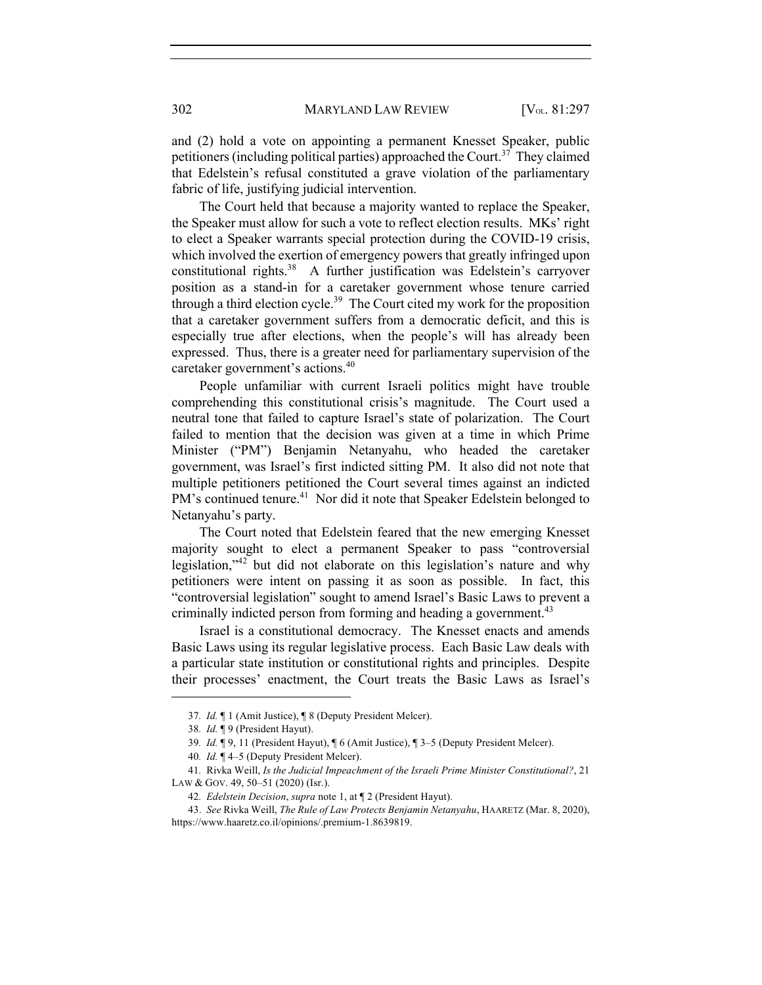and (2) hold a vote on appointing a permanent Knesset Speaker, public petitioners (including political parties) approached the Court.<sup>37</sup> They claimed that Edelstein's refusal constituted a grave violation of the parliamentary fabric of life, justifying judicial intervention.

The Court held that because a majority wanted to replace the Speaker, the Speaker must allow for such a vote to reflect election results. MKs' right to elect a Speaker warrants special protection during the COVID-19 crisis, which involved the exertion of emergency powers that greatly infringed upon constitutional rights.<sup>38</sup> A further justification was Edelstein's carryover position as a stand-in for a caretaker government whose tenure carried through a third election cycle.<sup>39</sup> The Court cited my work for the proposition that a caretaker government suffers from a democratic deficit, and this is especially true after elections, when the people's will has already been expressed. Thus, there is a greater need for parliamentary supervision of the caretaker government's actions.<sup>40</sup>

People unfamiliar with current Israeli politics might have trouble comprehending this constitutional crisis's magnitude. The Court used a neutral tone that failed to capture Israel's state of polarization. The Court failed to mention that the decision was given at a time in which Prime Minister ("PM") Benjamin Netanyahu, who headed the caretaker government, was Israel's first indicted sitting PM. It also did not note that multiple petitioners petitioned the Court several times against an indicted PM's continued tenure.<sup>41</sup> Nor did it note that Speaker Edelstein belonged to Netanyahu's party.

The Court noted that Edelstein feared that the new emerging Knesset majority sought to elect a permanent Speaker to pass "controversial legislation,"<sup>42</sup> but did not elaborate on this legislation's nature and why petitioners were intent on passing it as soon as possible. In fact, this "controversial legislation" sought to amend Israel's Basic Laws to prevent a criminally indicted person from forming and heading a government.<sup>43</sup>

Israel is a constitutional democracy. The Knesset enacts and amends Basic Laws using its regular legislative process. Each Basic Law deals with a particular state institution or constitutional rights and principles. Despite their processes' enactment, the Court treats the Basic Laws as Israel's

<sup>37</sup>*. Id.* ¶ 1 (Amit Justice), ¶ 8 (Deputy President Melcer).

<sup>38</sup>*. Id.* ¶ 9 (President Hayut).

<sup>39</sup>*. Id.* ¶ 9, 11 (President Hayut), ¶ 6 (Amit Justice), ¶ 3–5 (Deputy President Melcer).

<sup>40</sup>*. Id.* ¶ 4–5 (Deputy President Melcer).

<sup>41</sup>*.* Rivka Weill, *Is the Judicial Impeachment of the Israeli Prime Minister Constitutional?*, 21 LAW & GOV. 49, 50–51 (2020) (Isr.).

<sup>42</sup>*. Edelstein Decision*, *supra* note 1, at ¶ 2 (President Hayut).

<sup>43.</sup> *See* Rivka Weill, *The Rule of Law Protects Benjamin Netanyahu*, HAARETZ (Mar. 8, 2020), https://www.haaretz.co.il/opinions/.premium-1.8639819.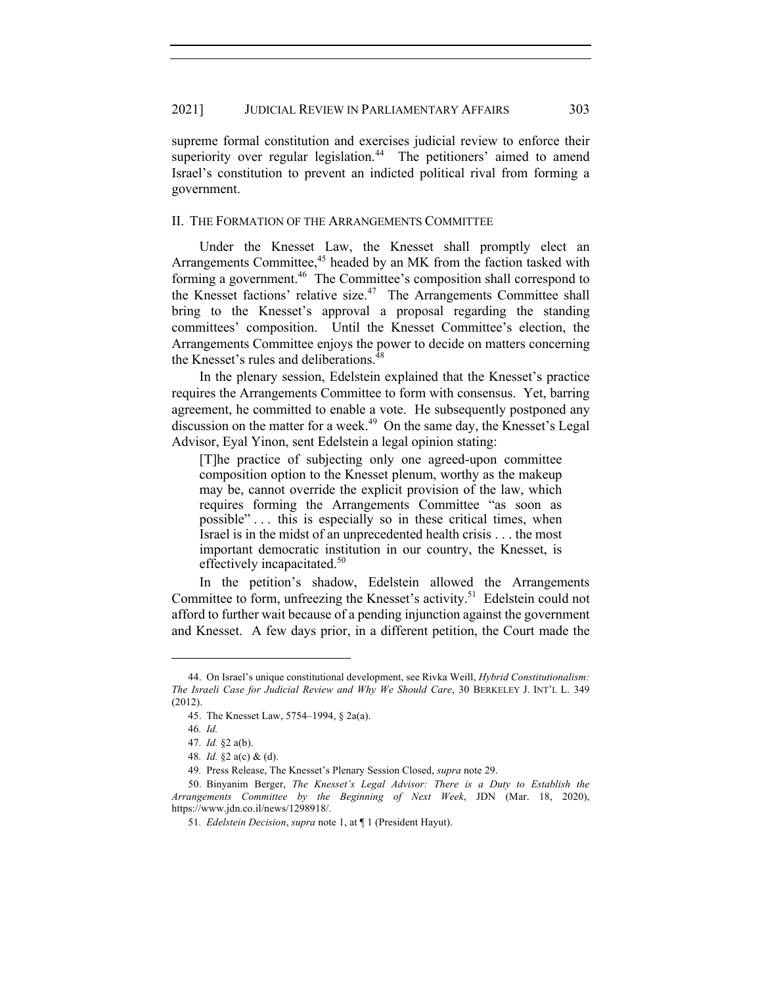supreme formal constitution and exercises judicial review to enforce their superiority over regular legislation.<sup>44</sup> The petitioners' aimed to amend Israel's constitution to prevent an indicted political rival from forming a government.

#### II. THE FORMATION OF THE ARRANGEMENTS COMMITTEE

Under the Knesset Law, the Knesset shall promptly elect an Arrangements Committee,<sup>45</sup> headed by an MK from the faction tasked with forming a government.<sup>46</sup> The Committee's composition shall correspond to the Knesset factions' relative size.<sup>47</sup> The Arrangements Committee shall bring to the Knesset's approval a proposal regarding the standing committees' composition. Until the Knesset Committee's election, the Arrangements Committee enjoys the power to decide on matters concerning the Knesset's rules and deliberations.<sup>48</sup>

In the plenary session, Edelstein explained that the Knesset's practice requires the Arrangements Committee to form with consensus. Yet, barring agreement, he committed to enable a vote. He subsequently postponed any discussion on the matter for a week.<sup>49</sup> On the same day, the Knesset's Legal Advisor, Eyal Yinon, sent Edelstein a legal opinion stating:

[T]he practice of subjecting only one agreed-upon committee composition option to the Knesset plenum, worthy as the makeup may be, cannot override the explicit provision of the law, which requires forming the Arrangements Committee "as soon as possible" . . . this is especially so in these critical times, when Israel is in the midst of an unprecedented health crisis . . . the most important democratic institution in our country, the Knesset, is effectively incapacitated. $50^\circ$ 

In the petition's shadow, Edelstein allowed the Arrangements Committee to form, unfreezing the Knesset's activity.<sup>51</sup> Edelstein could not afford to further wait because of a pending injunction against the government and Knesset. A few days prior, in a different petition, the Court made the

<sup>44.</sup> On Israel's unique constitutional development, see Rivka Weill, *Hybrid Constitutionalism: The Israeli Case for Judicial Review and Why We Should Care*, 30 BERKELEY J. INT'L L. 349 (2012).

<sup>45.</sup> The Knesset Law, 5754–1994, § 2a(a).

<sup>46</sup>*. Id.*

<sup>47</sup>*. Id.* §2 a(b).

<sup>48</sup>*. Id.* §2 a(c) & (d).

<sup>49</sup>*.* Press Release, The Knesset's Plenary Session Closed, *supra* note 29.

<sup>50.</sup> Binyanim Berger, *The Knesset's Legal Advisor: There is a Duty to Establish the Arrangements Committee by the Beginning of Next Week*, JDN (Mar. 18, 2020), https://www.jdn.co.il/news/1298918/.

<sup>51</sup>*. Edelstein Decision*, *supra* note 1, at ¶ 1 (President Hayut).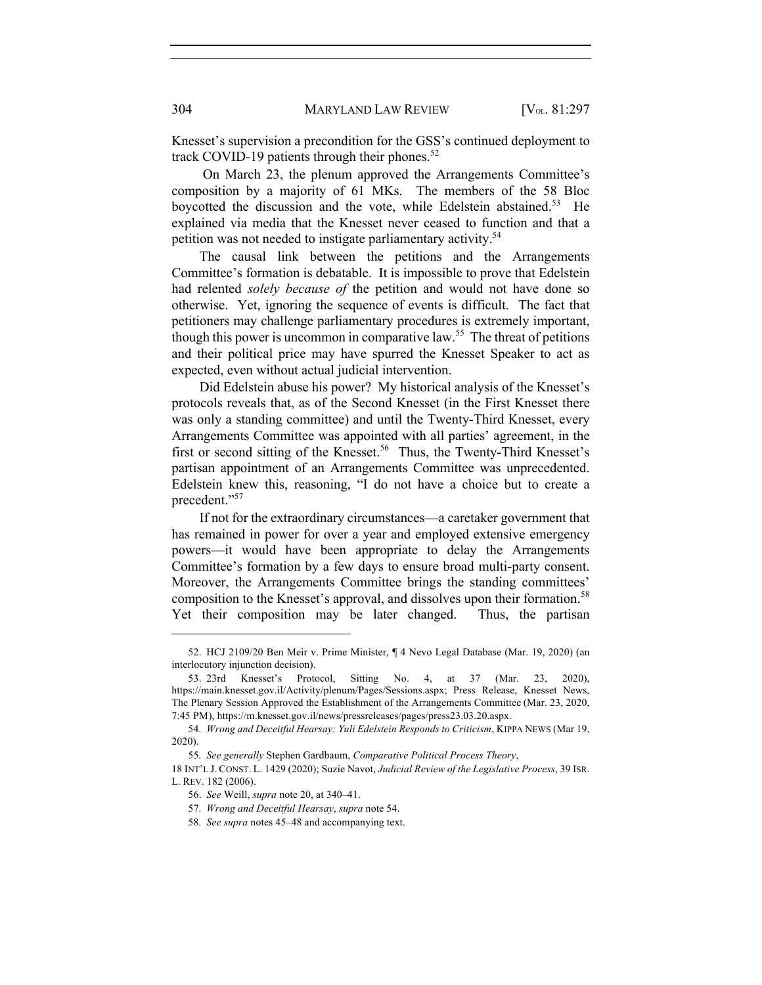Knesset's supervision a precondition for the GSS's continued deployment to track COVID-19 patients through their phones.<sup>52</sup>

On March 23, the plenum approved the Arrangements Committee's composition by a majority of 61 MKs. The members of the 58 Bloc boycotted the discussion and the vote, while Edelstein abstained.<sup>53</sup> He explained via media that the Knesset never ceased to function and that a petition was not needed to instigate parliamentary activity.<sup>54</sup>

The causal link between the petitions and the Arrangements Committee's formation is debatable. It is impossible to prove that Edelstein had relented *solely because of* the petition and would not have done so otherwise. Yet, ignoring the sequence of events is difficult. The fact that petitioners may challenge parliamentary procedures is extremely important, though this power is uncommon in comparative law.<sup>55</sup> The threat of petitions and their political price may have spurred the Knesset Speaker to act as expected, even without actual judicial intervention.

Did Edelstein abuse his power? My historical analysis of the Knesset's protocols reveals that, as of the Second Knesset (in the First Knesset there was only a standing committee) and until the Twenty-Third Knesset, every Arrangements Committee was appointed with all parties' agreement, in the first or second sitting of the Knesset.<sup>56</sup> Thus, the Twenty-Third Knesset's partisan appointment of an Arrangements Committee was unprecedented. Edelstein knew this, reasoning, "I do not have a choice but to create a precedent."<sup>57</sup>

If not for the extraordinary circumstances—a caretaker government that has remained in power for over a year and employed extensive emergency powers—it would have been appropriate to delay the Arrangements Committee's formation by a few days to ensure broad multi-party consent. Moreover, the Arrangements Committee brings the standing committees' composition to the Knesset's approval, and dissolves upon their formation.<sup>58</sup> Yet their composition may be later changed. Thus, the partisan

<sup>52.</sup> HCJ 2109/20 Ben Meir v. Prime Minister, ¶ 4 Nevo Legal Database (Mar. 19, 2020) (an interlocutory injunction decision).

<sup>53.</sup> 23rd Knesset's Protocol, Sitting No. 4, at 37 (Mar. 23, 2020), https://main.knesset.gov.il/Activity/plenum/Pages/Sessions.aspx; Press Release, Knesset News, The Plenary Session Approved the Establishment of the Arrangements Committee (Mar. 23, 2020, 7:45 PM), https://m.knesset.gov.il/news/pressreleases/pages/press23.03.20.aspx.

<sup>54</sup>*. Wrong and Deceitful Hearsay: Yuli Edelstein Responds to Criticism*, KIPPA NEWS (Mar 19, 2020).

<sup>55</sup>*. See generally* Stephen Gardbaum, *Comparative Political Process Theory*,

<sup>18</sup> INT'L J. CONST. L. 1429 (2020); Suzie Navot, *Judicial Review of the Legislative Process*, 39 ISR. L. REV. 182 (2006).

<sup>56.</sup> *See* Weill, *supra* note 20, at 340–41.

<sup>57</sup>*. Wrong and Deceitful Hearsay*, *supra* note 54.

<sup>58</sup>*. See supra* notes 45–48 and accompanying text.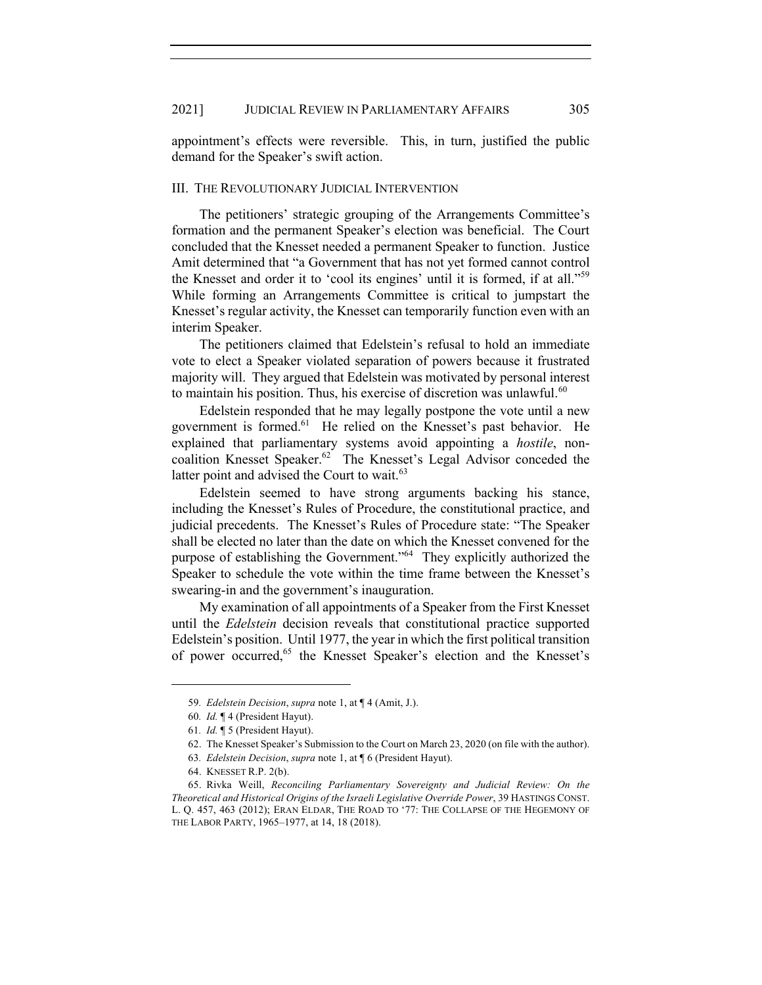appointment's effects were reversible. This, in turn, justified the public demand for the Speaker's swift action.

#### III. THE REVOLUTIONARY JUDICIAL INTERVENTION

The petitioners' strategic grouping of the Arrangements Committee's formation and the permanent Speaker's election was beneficial. The Court concluded that the Knesset needed a permanent Speaker to function. Justice Amit determined that "a Government that has not yet formed cannot control the Knesset and order it to 'cool its engines' until it is formed, if at all."59 While forming an Arrangements Committee is critical to jumpstart the Knesset's regular activity, the Knesset can temporarily function even with an interim Speaker.

The petitioners claimed that Edelstein's refusal to hold an immediate vote to elect a Speaker violated separation of powers because it frustrated majority will. They argued that Edelstein was motivated by personal interest to maintain his position. Thus, his exercise of discretion was unlawful.<sup>60</sup>

Edelstein responded that he may legally postpone the vote until a new government is formed.<sup>61</sup> He relied on the Knesset's past behavior. He explained that parliamentary systems avoid appointing a *hostile*, noncoalition Knesset Speaker.<sup>62</sup> The Knesset's Legal Advisor conceded the latter point and advised the Court to wait.<sup>63</sup>

Edelstein seemed to have strong arguments backing his stance, including the Knesset's Rules of Procedure, the constitutional practice, and judicial precedents. The Knesset's Rules of Procedure state: "The Speaker shall be elected no later than the date on which the Knesset convened for the purpose of establishing the Government."<sup>64</sup> They explicitly authorized the Speaker to schedule the vote within the time frame between the Knesset's swearing-in and the government's inauguration.

My examination of all appointments of a Speaker from the First Knesset until the *Edelstein* decision reveals that constitutional practice supported Edelstein's position. Until 1977, the year in which the first political transition of power occurred,<sup>65</sup> the Knesset Speaker's election and the Knesset's

<sup>59</sup>*. Edelstein Decision*, *supra* note 1, at ¶ 4 (Amit, J.).

<sup>60</sup>*. Id.* ¶ 4 (President Hayut).

<sup>61</sup>*. Id.* ¶ 5 (President Hayut).

<sup>62.</sup> The Knesset Speaker's Submission to the Court on March 23, 2020 (on file with the author).

<sup>63</sup>*. Edelstein Decision*, *supra* note 1, at ¶ 6 (President Hayut).

<sup>64.</sup> KNESSET R.P. 2(b).

<sup>65.</sup> Rivka Weill, *Reconciling Parliamentary Sovereignty and Judicial Review: On the Theoretical and Historical Origins of the Israeli Legislative Override Power*, 39 HASTINGS CONST. L. Q. 457, 463 (2012); ERAN ELDAR, THE ROAD TO '77: THE COLLAPSE OF THE HEGEMONY OF THE LABOR PARTY, 1965–1977, at 14, 18 (2018).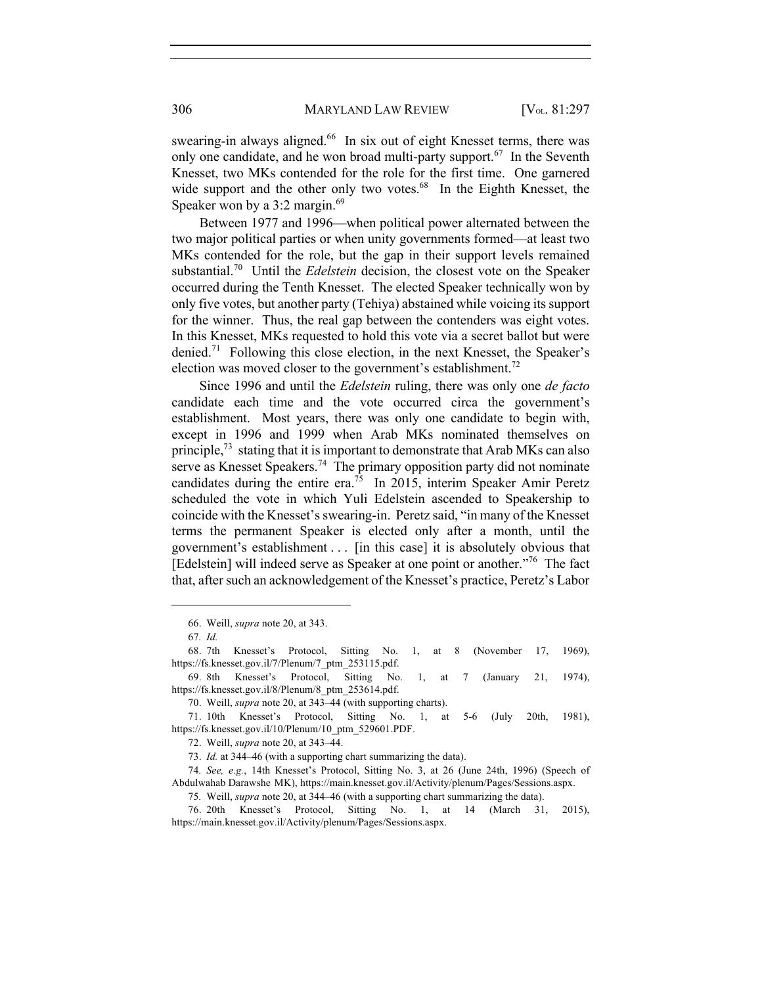swearing-in always aligned.<sup>66</sup> In six out of eight Knesset terms, there was only one candidate, and he won broad multi-party support.<sup>67</sup> In the Seventh Knesset, two MKs contended for the role for the first time. One garnered wide support and the other only two votes. $68$  In the Eighth Knesset, the Speaker won by a 3:2 margin. $69$ 

Between 1977 and 1996—when political power alternated between the two major political parties or when unity governments formed—at least two MKs contended for the role, but the gap in their support levels remained substantial.70 Until the *Edelstein* decision, the closest vote on the Speaker occurred during the Tenth Knesset. The elected Speaker technically won by only five votes, but another party (Tehiya) abstained while voicing its support for the winner. Thus, the real gap between the contenders was eight votes. In this Knesset, MKs requested to hold this vote via a secret ballot but were denied.<sup>71</sup> Following this close election, in the next Knesset, the Speaker's election was moved closer to the government's establishment.<sup>72</sup>

Since 1996 and until the *Edelstein* ruling, there was only one *de facto* candidate each time and the vote occurred circa the government's establishment. Most years, there was only one candidate to begin with, except in 1996 and 1999 when Arab MKs nominated themselves on principle, $^{73}$  stating that it is important to demonstrate that Arab MKs can also serve as Knesset Speakers.<sup>74</sup> The primary opposition party did not nominate candidates during the entire era.<sup>75</sup> In 2015, interim Speaker Amir Peretz scheduled the vote in which Yuli Edelstein ascended to Speakership to coincide with the Knesset's swearing-in. Peretz said, "in many of the Knesset terms the permanent Speaker is elected only after a month, until the government's establishment . . . [in this case] it is absolutely obvious that [Edelstein] will indeed serve as Speaker at one point or another.<sup>"76</sup> The fact that, after such an acknowledgement of the Knesset's practice, Peretz's Labor

<sup>66.</sup> Weill, *supra* note 20, at 343.

<sup>67</sup>*. Id.*

<sup>68.</sup> 7th Knesset's Protocol, Sitting No. 1, at 8 (November 17, 1969), https://fs.knesset.gov.il/7/Plenum/7\_ptm\_253115.pdf.

<sup>69.</sup> 8th Knesset's Protocol, Sitting No. 1, at 7 (January 21, 1974), https://fs.knesset.gov.il/8/Plenum/8\_ptm\_253614.pdf.

<sup>70.</sup> Weill, *supra* note 20, at 343–44 (with supporting charts).

<sup>71.</sup> 10th Knesset's Protocol, Sitting No. 1, at 5-6 (July 20th, 1981), https://fs.knesset.gov.il/10/Plenum/10\_ptm\_529601.PDF.

<sup>72.</sup> Weill, *supra* note 20, at 343–44.

<sup>73.</sup> *Id.* at 344–46 (with a supporting chart summarizing the data).

<sup>74</sup>*. See, e.g.*, 14th Knesset's Protocol, Sitting No. 3, at 26 (June 24th, 1996) (Speech of Abdulwahab Darawshe MK), https://main.knesset.gov.il/Activity/plenum/Pages/Sessions.aspx.

<sup>75</sup>*.* Weill, *supra* note 20, at 344–46 (with a supporting chart summarizing the data).

<sup>76.</sup> 20th Knesset's Protocol, Sitting No. 1, at 14 (March 31, 2015), https://main.knesset.gov.il/Activity/plenum/Pages/Sessions.aspx.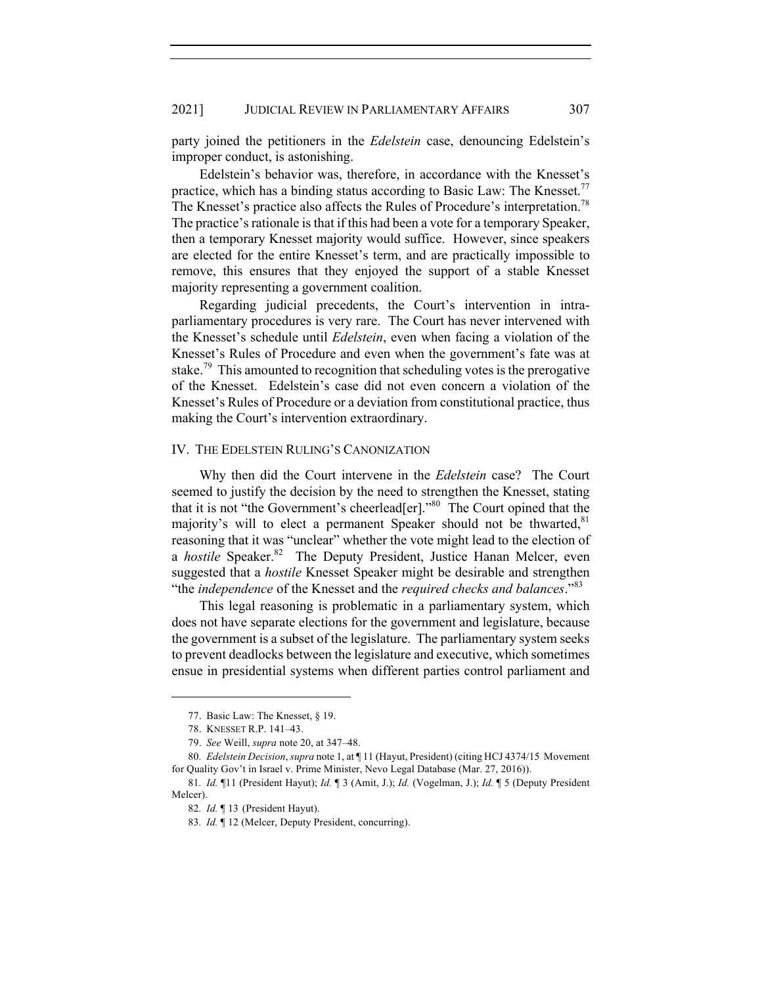party joined the petitioners in the *Edelstein* case, denouncing Edelstein's improper conduct, is astonishing.

Edelstein's behavior was, therefore, in accordance with the Knesset's practice, which has a binding status according to Basic Law: The Knesset.<sup>77</sup> The Knesset's practice also affects the Rules of Procedure's interpretation.<sup>78</sup> The practice's rationale is that if this had been a vote for a temporary Speaker, then a temporary Knesset majority would suffice. However, since speakers are elected for the entire Knesset's term, and are practically impossible to remove, this ensures that they enjoyed the support of a stable Knesset majority representing a government coalition.

Regarding judicial precedents, the Court's intervention in intraparliamentary procedures is very rare. The Court has never intervened with the Knesset's schedule until *Edelstein*, even when facing a violation of the Knesset's Rules of Procedure and even when the government's fate was at stake.<sup>79</sup> This amounted to recognition that scheduling votes is the prerogative of the Knesset. Edelstein's case did not even concern a violation of the Knesset's Rules of Procedure or a deviation from constitutional practice, thus making the Court's intervention extraordinary.

#### IV. THE EDELSTEIN RULING'S CANONIZATION

Why then did the Court intervene in the *Edelstein* case? The Court seemed to justify the decision by the need to strengthen the Knesset, stating that it is not "the Government's cheerlead[er]."80 The Court opined that the majority's will to elect a permanent Speaker should not be thwarted,  $81$ reasoning that it was "unclear" whether the vote might lead to the election of a *hostile* Speaker.<sup>82</sup> The Deputy President, Justice Hanan Melcer, even suggested that a *hostile* Knesset Speaker might be desirable and strengthen "the *independence* of the Knesset and the *required checks and balances*."<sup>83</sup>

This legal reasoning is problematic in a parliamentary system, which does not have separate elections for the government and legislature, because the government is a subset of the legislature. The parliamentary system seeks to prevent deadlocks between the legislature and executive, which sometimes ensue in presidential systems when different parties control parliament and

<sup>77.</sup> Basic Law: The Knesset, § 19.

<sup>78.</sup> KNESSET R.P. 141–43.

<sup>79.</sup> *See* Weill, *supra* note 20, at 347–48.

<sup>80</sup>*. Edelstein Decision*, *supra* note 1, at ¶ 11 (Hayut, President) (citing HCJ 4374/15 Movement for Quality Gov't in Israel v. Prime Minister, Nevo Legal Database (Mar. 27, 2016)).

<sup>81</sup>*. Id.* ¶11 (President Hayut); *Id.* ¶ 3 (Amit, J.); *Id.* (Vogelman, J.); *Id.* ¶ 5 (Deputy President Melcer).

<sup>82</sup>*. Id.* ¶ 13 (President Hayut).

<sup>83</sup>*. Id.* ¶ 12 (Melcer, Deputy President, concurring).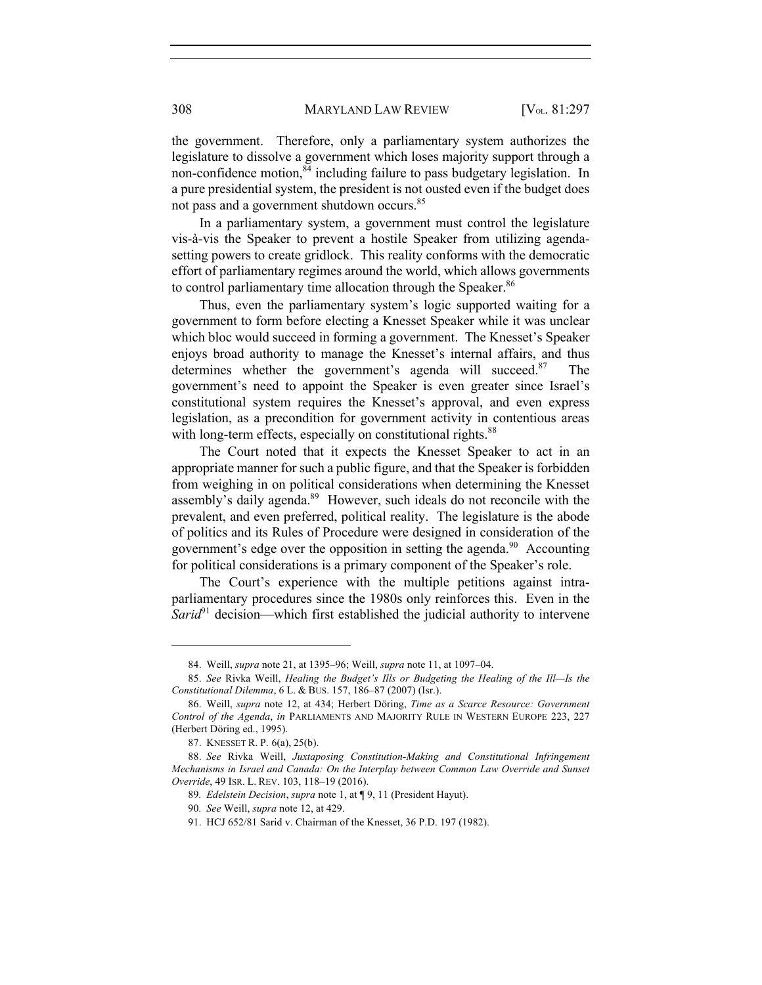308 MARYLAND LAW REVIEW [V<sub>OL.</sub> 81:297

the government. Therefore, only a parliamentary system authorizes the legislature to dissolve a government which loses majority support through a non-confidence motion, $84$  including failure to pass budgetary legislation. In a pure presidential system, the president is not ousted even if the budget does not pass and a government shutdown occurs.<sup>85</sup>

In a parliamentary system, a government must control the legislature vis-à-vis the Speaker to prevent a hostile Speaker from utilizing agendasetting powers to create gridlock. This reality conforms with the democratic effort of parliamentary regimes around the world, which allows governments to control parliamentary time allocation through the Speaker.<sup>86</sup>

Thus, even the parliamentary system's logic supported waiting for a government to form before electing a Knesset Speaker while it was unclear which bloc would succeed in forming a government. The Knesset's Speaker enjoys broad authority to manage the Knesset's internal affairs, and thus determines whether the government's agenda will succeed. $87$  The government's need to appoint the Speaker is even greater since Israel's constitutional system requires the Knesset's approval, and even express legislation, as a precondition for government activity in contentious areas with long-term effects, especially on constitutional rights.<sup>88</sup>

The Court noted that it expects the Knesset Speaker to act in an appropriate manner for such a public figure, and that the Speaker is forbidden from weighing in on political considerations when determining the Knesset assembly's daily agenda.<sup>89</sup> However, such ideals do not reconcile with the prevalent, and even preferred, political reality. The legislature is the abode of politics and its Rules of Procedure were designed in consideration of the government's edge over the opposition in setting the agenda.<sup>90</sup> Accounting for political considerations is a primary component of the Speaker's role.

The Court's experience with the multiple petitions against intraparliamentary procedures since the 1980s only reinforces this. Even in the *Sarid*<sup>91</sup> decision—which first established the judicial authority to intervene

<sup>84.</sup> Weill, *supra* note 21, at 1395–96; Weill, *supra* note 11, at 1097–04.

<sup>85.</sup> *See* Rivka Weill, *Healing the Budget's Ills or Budgeting the Healing of the Ill—Is the Constitutional Dilemma*, 6 L. & BUS. 157, 186–87 (2007) (Isr.).

<sup>86.</sup> Weill, *supra* note 12, at 434; Herbert Döring, *Time as a Scarce Resource: Government Control of the Agenda*, *in* PARLIAMENTS AND MAJORITY RULE IN WESTERN EUROPE 223, 227 (Herbert Döring ed., 1995).

<sup>87.</sup> KNESSET R. P. 6(a), 25(b).

<sup>88.</sup> *See* Rivka Weill, *Juxtaposing Constitution-Making and Constitutional Infringement Mechanisms in Israel and Canada: On the Interplay between Common Law Override and Sunset Override*, 49 ISR. L. REV. 103, 118–19 (2016).

<sup>89</sup>*. Edelstein Decision*, *supra* note 1, at ¶ 9, 11 (President Hayut).

<sup>90</sup>*. See* Weill, *supra* note 12, at 429.

<sup>91.</sup> HCJ 652/81 Sarid v. Chairman of the Knesset, 36 P.D. 197 (1982).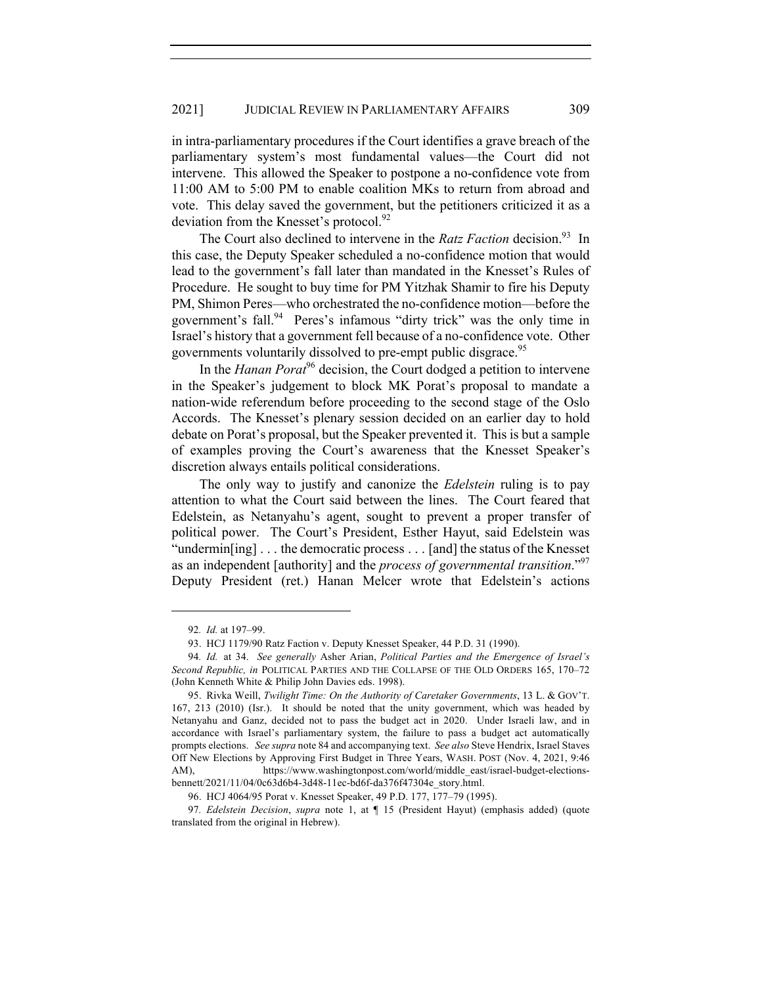in intra-parliamentary procedures if the Court identifies a grave breach of the parliamentary system's most fundamental values—the Court did not intervene. This allowed the Speaker to postpone a no-confidence vote from 11:00 AM to 5:00 PM to enable coalition MKs to return from abroad and vote. This delay saved the government, but the petitioners criticized it as a deviation from the Knesset's protocol.<sup>92</sup>

The Court also declined to intervene in the *Ratz Faction* decision.<sup>93</sup> In this case, the Deputy Speaker scheduled a no-confidence motion that would lead to the government's fall later than mandated in the Knesset's Rules of Procedure. He sought to buy time for PM Yitzhak Shamir to fire his Deputy PM, Shimon Peres—who orchestrated the no-confidence motion—before the government's fall.<sup>94</sup> Peres's infamous "dirty trick" was the only time in Israel's history that a government fell because of a no-confidence vote. Other governments voluntarily dissolved to pre-empt public disgrace.<sup>95</sup>

In the *Hanan Porat*<sup>96</sup> decision, the Court dodged a petition to intervene in the Speaker's judgement to block MK Porat's proposal to mandate a nation-wide referendum before proceeding to the second stage of the Oslo Accords. The Knesset's plenary session decided on an earlier day to hold debate on Porat's proposal, but the Speaker prevented it. This is but a sample of examples proving the Court's awareness that the Knesset Speaker's discretion always entails political considerations.

The only way to justify and canonize the *Edelstein* ruling is to pay attention to what the Court said between the lines. The Court feared that Edelstein, as Netanyahu's agent, sought to prevent a proper transfer of political power. The Court's President, Esther Hayut, said Edelstein was "undermin[ing] . . . the democratic process . . . [and] the status of the Knesset as an independent [authority] and the *process of governmental transition*."97 Deputy President (ret.) Hanan Melcer wrote that Edelstein's actions

<sup>92</sup>*. Id.* at 197–99.

<sup>93.</sup> HCJ 1179/90 Ratz Faction v. Deputy Knesset Speaker, 44 P.D. 31 (1990).

<sup>94</sup>*. Id.* at 34. *See generally* Asher Arian, *Political Parties and the Emergence of Israel's Second Republic, in* POLITICAL PARTIES AND THE COLLAPSE OF THE OLD ORDERS 165, 170–72 (John Kenneth White & Philip John Davies eds. 1998).

<sup>95.</sup> Rivka Weill, *Twilight Time: On the Authority of Caretaker Governments*, 13 L. & GOV'T. 167, 213 (2010) (Isr.). It should be noted that the unity government, which was headed by Netanyahu and Ganz, decided not to pass the budget act in 2020. Under Israeli law, and in accordance with Israel's parliamentary system, the failure to pass a budget act automatically prompts elections. *See supra* note 84 and accompanying text. *See also* Steve Hendrix, Israel Staves Off New Elections by Approving First Budget in Three Years, WASH. POST (Nov. 4, 2021, 9:46 AM), https://www.washingtonpost.com/world/middle\_east/israel-budget-electionsbennett/2021/11/04/0c63d6b4-3d48-11ec-bd6f-da376f47304e\_story.html.

<sup>96.</sup> HCJ 4064/95 Porat v. Knesset Speaker, 49 P.D. 177, 177–79 (1995).

<sup>97</sup>*. Edelstein Decision*, *supra* note 1, at ¶ 15 (President Hayut) (emphasis added) (quote translated from the original in Hebrew).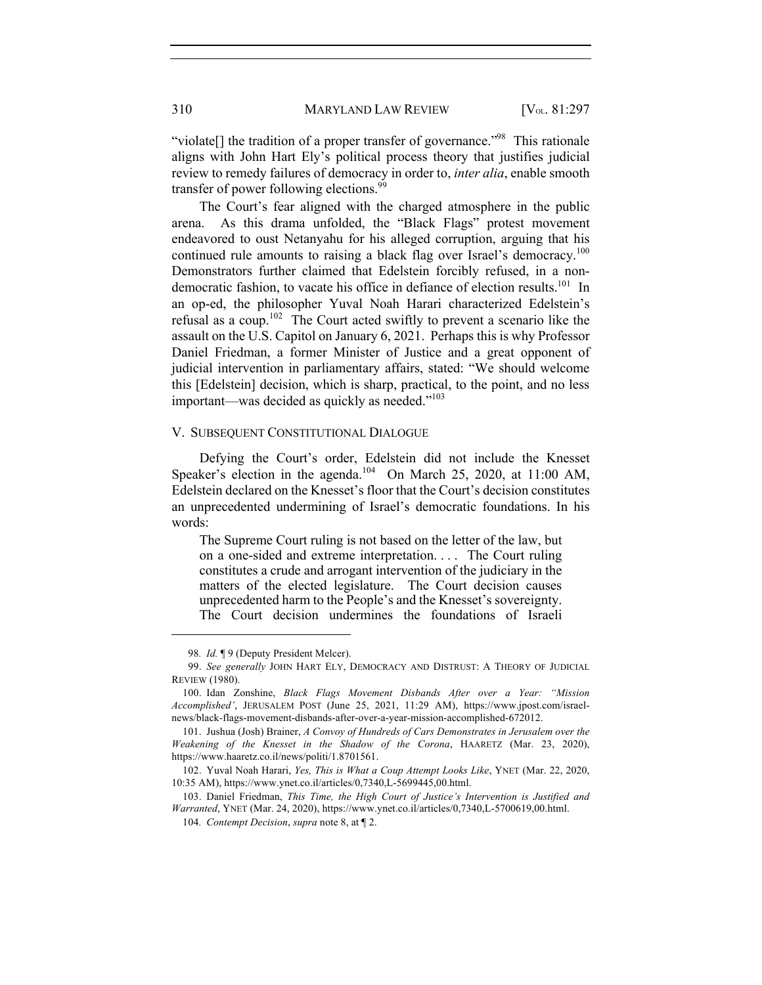"violate[] the tradition of a proper transfer of governance."<sup>98</sup> This rationale aligns with John Hart Ely's political process theory that justifies judicial review to remedy failures of democracy in order to, *inter alia*, enable smooth transfer of power following elections.<sup>99</sup>

The Court's fear aligned with the charged atmosphere in the public arena. As this drama unfolded, the "Black Flags" protest movement endeavored to oust Netanyahu for his alleged corruption, arguing that his continued rule amounts to raising a black flag over Israel's democracy.<sup>100</sup> Demonstrators further claimed that Edelstein forcibly refused, in a nondemocratic fashion, to vacate his office in defiance of election results.<sup>101</sup> In an op-ed, the philosopher Yuval Noah Harari characterized Edelstein's refusal as a coup.<sup>102</sup> The Court acted swiftly to prevent a scenario like the assault on the U.S. Capitol on January 6, 2021. Perhaps this is why Professor Daniel Friedman, a former Minister of Justice and a great opponent of judicial intervention in parliamentary affairs, stated: "We should welcome this [Edelstein] decision, which is sharp, practical, to the point, and no less important—was decided as quickly as needed."<sup>103</sup>

#### V. SUBSEQUENT CONSTITUTIONAL DIALOGUE

Defying the Court's order, Edelstein did not include the Knesset Speaker's election in the agenda.<sup>104</sup> On March 25, 2020, at 11:00 AM, Edelstein declared on the Knesset's floor that the Court's decision constitutes an unprecedented undermining of Israel's democratic foundations. In his words:

The Supreme Court ruling is not based on the letter of the law, but on a one-sided and extreme interpretation. . . . The Court ruling constitutes a crude and arrogant intervention of the judiciary in the matters of the elected legislature. The Court decision causes unprecedented harm to the People's and the Knesset's sovereignty. The Court decision undermines the foundations of Israeli

103. Daniel Friedman, *This Time, the High Court of Justice's Intervention is Justified and Warranted*, YNET (Mar. 24, 2020), https://www.ynet.co.il/articles/0,7340,L-5700619,00.html.

<sup>98</sup>*. Id.* ¶ 9 (Deputy President Melcer).

<sup>99.</sup> *See generally* JOHN HART ELY, DEMOCRACY AND DISTRUST: A THEORY OF JUDICIAL REVIEW (1980).

<sup>100.</sup> Idan Zonshine, *Black Flags Movement Disbands After over a Year: "Mission Accomplished'*, JERUSALEM POST (June 25, 2021, 11:29 AM), https://www.jpost.com/israelnews/black-flags-movement-disbands-after-over-a-year-mission-accomplished-672012.

<sup>101.</sup> Jushua (Josh) Brainer, *A Convoy of Hundreds of Cars Demonstrates in Jerusalem over the Weakening of the Knesset in the Shadow of the Corona*, HAARETZ (Mar. 23, 2020), https://www.haaretz.co.il/news/politi/1.8701561.

<sup>102.</sup> Yuval Noah Harari, *Yes, This is What a Coup Attempt Looks Like*, YNET (Mar. 22, 2020, 10:35 AM), https://www.ynet.co.il/articles/0,7340,L-5699445,00.html.

<sup>104</sup>*. Contempt Decision*, *supra* note 8, at ¶ 2.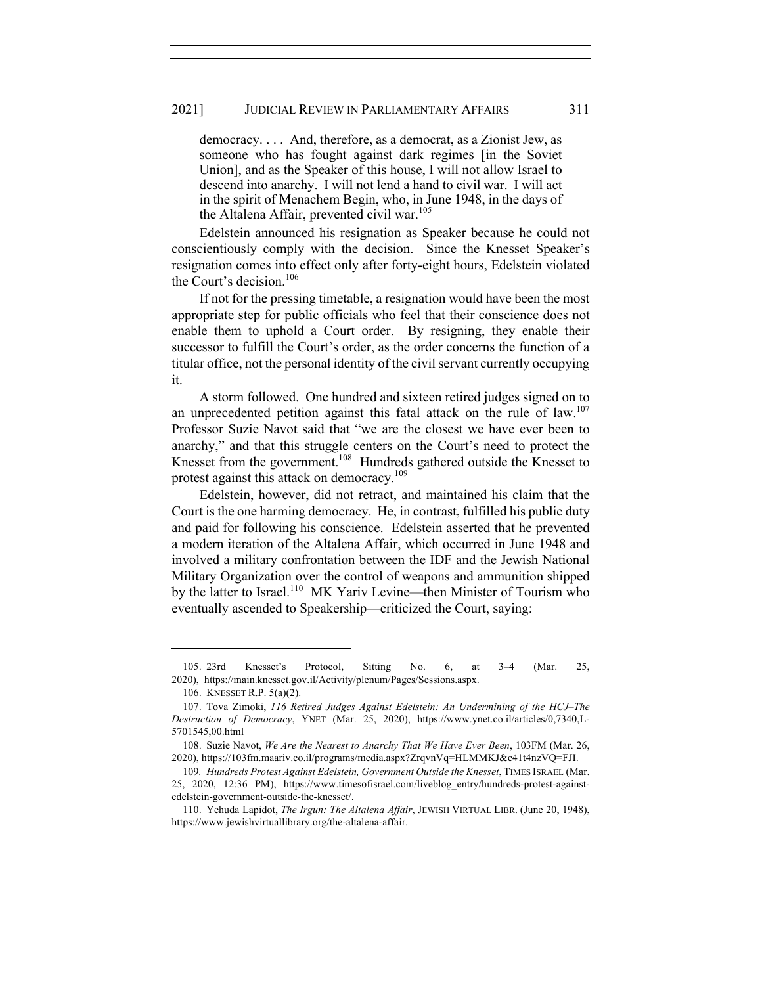#### 2021] JUDICIAL REVIEW IN PARLIAMENTARY AFFAIRS 311

democracy. . . . And, therefore, as a democrat, as a Zionist Jew, as someone who has fought against dark regimes [in the Soviet Union], and as the Speaker of this house, I will not allow Israel to descend into anarchy. I will not lend a hand to civil war. I will act in the spirit of Menachem Begin, who, in June 1948, in the days of the Altalena Affair, prevented civil war.<sup>105</sup>

Edelstein announced his resignation as Speaker because he could not conscientiously comply with the decision. Since the Knesset Speaker's resignation comes into effect only after forty-eight hours, Edelstein violated the Court's decision.<sup>106</sup>

If not for the pressing timetable, a resignation would have been the most appropriate step for public officials who feel that their conscience does not enable them to uphold a Court order. By resigning, they enable their successor to fulfill the Court's order, as the order concerns the function of a titular office, not the personal identity of the civil servant currently occupying it.

A storm followed. One hundred and sixteen retired judges signed on to an unprecedented petition against this fatal attack on the rule of law.<sup>107</sup> Professor Suzie Navot said that "we are the closest we have ever been to anarchy," and that this struggle centers on the Court's need to protect the Knesset from the government.<sup>108</sup> Hundreds gathered outside the Knesset to protest against this attack on democracy.<sup>109</sup>

Edelstein, however, did not retract, and maintained his claim that the Court is the one harming democracy. He, in contrast, fulfilled his public duty and paid for following his conscience. Edelstein asserted that he prevented a modern iteration of the Altalena Affair, which occurred in June 1948 and involved a military confrontation between the IDF and the Jewish National Military Organization over the control of weapons and ammunition shipped by the latter to Israel.<sup>110</sup> MK Yariv Levine—then Minister of Tourism who eventually ascended to Speakership—criticized the Court, saying:

<sup>105.</sup> 23rd Knesset's Protocol, Sitting No. 6, at 3–4 (Mar. 25, 2020), https://main.knesset.gov.il/Activity/plenum/Pages/Sessions.aspx.

<sup>106.</sup> KNESSET R.P. 5(a)(2).

<sup>107.</sup> Tova Zimoki, *116 Retired Judges Against Edelstein: An Undermining of the HCJ*–*The Destruction of Democracy*, YNET (Mar. 25, 2020), https://www.ynet.co.il/articles/0,7340,L-5701545,00.html

<sup>108.</sup> Suzie Navot, *We Are the Nearest to Anarchy That We Have Ever Been*, 103FM (Mar. 26, 2020), https://103fm.maariv.co.il/programs/media.aspx?ZrqvnVq=HLMMKJ&c41t4nzVQ=FJI.

<sup>109</sup>*. Hundreds Protest Against Edelstein, Government Outside the Knesset*, TIMES ISRAEL (Mar. 25, 2020, 12:36 PM), https://www.timesofisrael.com/liveblog\_entry/hundreds-protest-againstedelstein-government-outside-the-knesset/.

<sup>110.</sup> Yehuda Lapidot, *The Irgun: The Altalena Affair*, JEWISH VIRTUAL LIBR. (June 20, 1948), https://www.jewishvirtuallibrary.org/the-altalena-affair.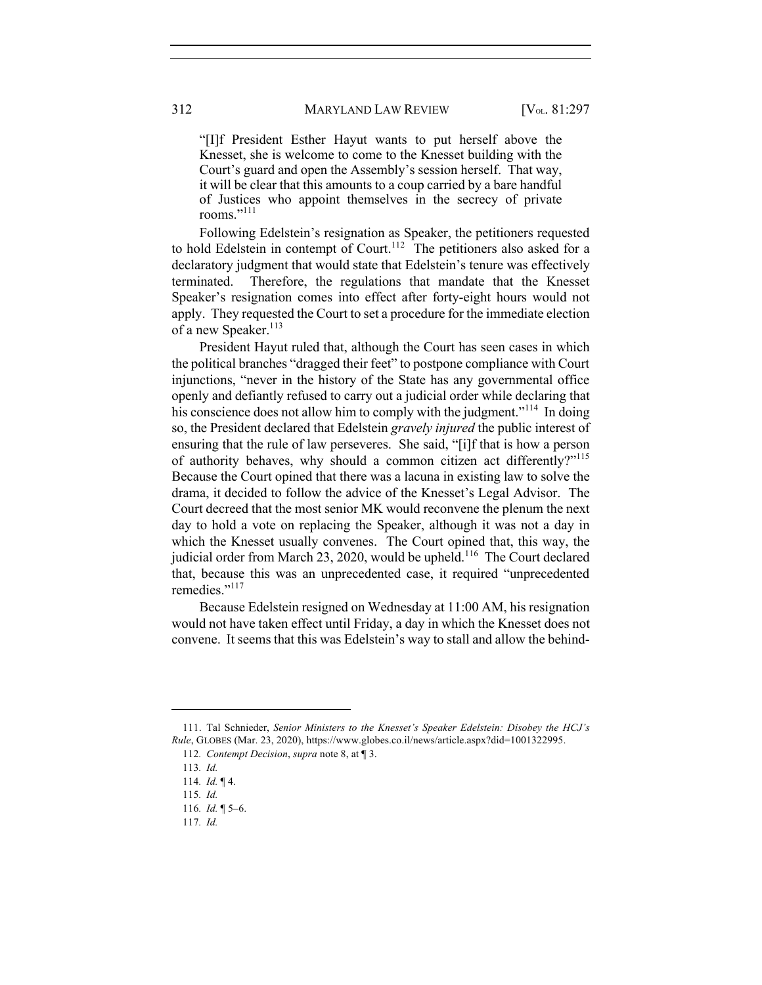"[I]f President Esther Hayut wants to put herself above the Knesset, she is welcome to come to the Knesset building with the Court's guard and open the Assembly's session herself. That way, it will be clear that this amounts to a coup carried by a bare handful of Justices who appoint themselves in the secrecy of private rooms."111

Following Edelstein's resignation as Speaker, the petitioners requested to hold Edelstein in contempt of Court.<sup>112</sup> The petitioners also asked for a declaratory judgment that would state that Edelstein's tenure was effectively terminated. Therefore, the regulations that mandate that the Knesset Speaker's resignation comes into effect after forty-eight hours would not apply. They requested the Court to set a procedure for the immediate election of a new Speaker.<sup>113</sup>

President Hayut ruled that, although the Court has seen cases in which the political branches "dragged their feet" to postpone compliance with Court injunctions, "never in the history of the State has any governmental office openly and defiantly refused to carry out a judicial order while declaring that his conscience does not allow him to comply with the judgment."<sup>114</sup> In doing so, the President declared that Edelstein *gravely injured* the public interest of ensuring that the rule of law perseveres. She said, "[i]f that is how a person of authority behaves, why should a common citizen act differently?"<sup>115</sup> Because the Court opined that there was a lacuna in existing law to solve the drama, it decided to follow the advice of the Knesset's Legal Advisor. The Court decreed that the most senior MK would reconvene the plenum the next day to hold a vote on replacing the Speaker, although it was not a day in which the Knesset usually convenes. The Court opined that, this way, the judicial order from March 23, 2020, would be upheld.<sup>116</sup> The Court declared that, because this was an unprecedented case, it required "unprecedented remedies."<sup>117</sup>

Because Edelstein resigned on Wednesday at 11:00 AM, his resignation would not have taken effect until Friday, a day in which the Knesset does not convene. It seems that this was Edelstein's way to stall and allow the behind-

<sup>111.</sup> Tal Schnieder, *Senior Ministers to the Knesset's Speaker Edelstein: Disobey the HCJ's Rule*, GLOBES (Mar. 23, 2020), https://www.globes.co.il/news/article.aspx?did=1001322995.

<sup>112</sup>*. Contempt Decision*, *supra* note 8, at ¶ 3.

<sup>113</sup>*. Id.*

<sup>114</sup>*. Id.* ¶ 4.

<sup>115</sup>*. Id.*

<sup>116</sup>*. Id.* ¶ 5–6.

<sup>117</sup>*. Id.*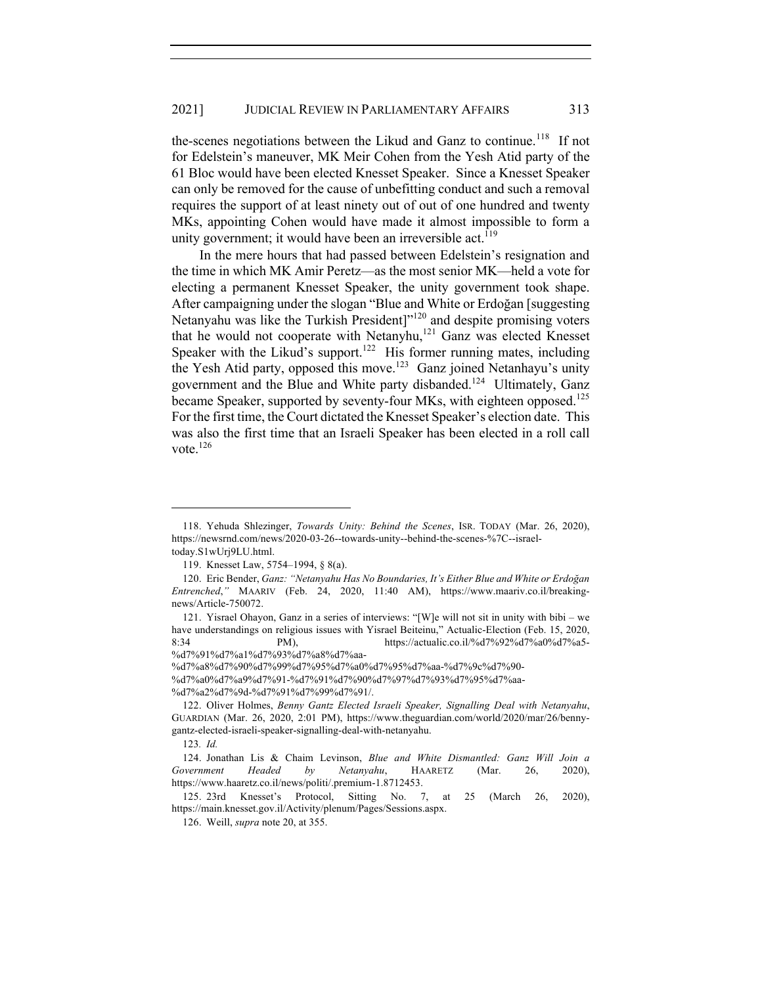the-scenes negotiations between the Likud and Ganz to continue.<sup>118</sup> If not for Edelstein's maneuver, MK Meir Cohen from the Yesh Atid party of the 61 Bloc would have been elected Knesset Speaker. Since a Knesset Speaker can only be removed for the cause of unbefitting conduct and such a removal requires the support of at least ninety out of out of one hundred and twenty MKs, appointing Cohen would have made it almost impossible to form a unity government; it would have been an irreversible act.<sup>119</sup>

In the mere hours that had passed between Edelstein's resignation and the time in which MK Amir Peretz—as the most senior MK—held a vote for electing a permanent Knesset Speaker, the unity government took shape. After campaigning under the slogan "Blue and White or Erdoğan [suggesting Netanyahu was like the Turkish President]"<sup>120</sup> and despite promising voters that he would not cooperate with Netanyhu,<sup>121</sup> Ganz was elected Knesset Speaker with the Likud's support.<sup>122</sup> His former running mates, including the Yesh Atid party, opposed this move.<sup>123</sup> Ganz joined Netanhayu's unity government and the Blue and White party disbanded.<sup>124</sup> Ultimately, Ganz became Speaker, supported by seventy-four MKs, with eighteen opposed.<sup>125</sup> For the first time, the Court dictated the Knesset Speaker's election date. This was also the first time that an Israeli Speaker has been elected in a roll call vote. $126$ 

%d7%a2%d7%9d-%d7%91%d7%99%d7%91/.

<sup>118.</sup> Yehuda Shlezinger, *Towards Unity: Behind the Scenes*, ISR. TODAY (Mar. 26, 2020), https://newsrnd.com/news/2020-03-26--towards-unity--behind-the-scenes-%7C--israeltoday.S1wUrj9LU.html.

<sup>119.</sup> Knesset Law, 5754–1994, § 8(a).

<sup>120.</sup> Eric Bender, *Ganz: "Netanyahu Has No Boundaries, It's Either Blue and White or Erdoğan Entrenched*,*"* MAARIV (Feb. 24, 2020, 11:40 AM), https://www.maariv.co.il/breakingnews/Article-750072.

<sup>121.</sup> Yisrael Ohayon, Ganz in a series of interviews: "[W]e will not sit in unity with bibi – we have understandings on religious issues with Yisrael Beiteinu," Actualic-Election (Feb. 15, 2020, 8:34 PM), https://actualic.co.il/%d7%92%d7%a0%d7%a5-%d7%91%d7%a1%d7%93%d7%a8%d7%aa-

<sup>%</sup>d7%a8%d7%90%d7%99%d7%95%d7%a0%d7%95%d7%aa-%d7%9c%d7%90-

<sup>%</sup>d7%a0%d7%a9%d7%91-%d7%91%d7%90%d7%97%d7%93%d7%95%d7%aa-

<sup>122.</sup> Oliver Holmes, *Benny Gantz Elected Israeli Speaker, Signalling Deal with Netanyahu*, GUARDIAN (Mar. 26, 2020, 2:01 PM), https://www.theguardian.com/world/2020/mar/26/bennygantz-elected-israeli-speaker-signalling-deal-with-netanyahu.

<sup>123</sup>*. Id.*

<sup>124.</sup> Jonathan Lis & Chaim Levinson, *Blue and White Dismantled: Ganz Will Join a Government Headed by Netanyahu*, HAARETZ (Mar. 26, 2020), https://www.haaretz.co.il/news/politi/.premium-1.8712453.

<sup>125.</sup> 23rd Knesset's Protocol, Sitting No. 7, at 25 (March 26, 2020), https://main.knesset.gov.il/Activity/plenum/Pages/Sessions.aspx.

<sup>126.</sup> Weill, *supra* note 20, at 355.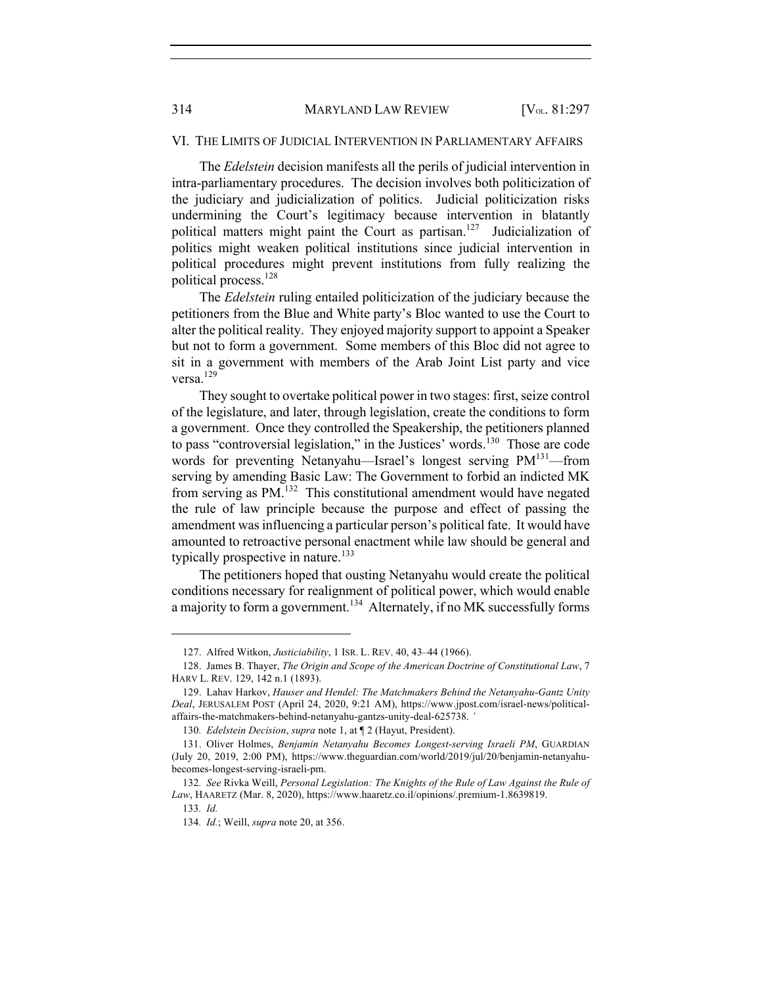#### VI. THE LIMITS OF JUDICIAL INTERVENTION IN PARLIAMENTARY AFFAIRS

The *Edelstein* decision manifests all the perils of judicial intervention in intra-parliamentary procedures. The decision involves both politicization of the judiciary and judicialization of politics. Judicial politicization risks undermining the Court's legitimacy because intervention in blatantly political matters might paint the Court as partisan.<sup>127</sup> Judicialization of politics might weaken political institutions since judicial intervention in political procedures might prevent institutions from fully realizing the political process.<sup>128</sup>

The *Edelstein* ruling entailed politicization of the judiciary because the petitioners from the Blue and White party's Bloc wanted to use the Court to alter the political reality. They enjoyed majority support to appoint a Speaker but not to form a government. Some members of this Bloc did not agree to sit in a government with members of the Arab Joint List party and vice versa.129

They sought to overtake political power in two stages: first, seize control of the legislature, and later, through legislation, create the conditions to form a government. Once they controlled the Speakership, the petitioners planned to pass "controversial legislation," in the Justices' words.<sup>130</sup> Those are code words for preventing Netanyahu—Israel's longest serving PM<sup>131</sup>—from serving by amending Basic Law: The Government to forbid an indicted MK from serving as PM.<sup>132</sup> This constitutional amendment would have negated the rule of law principle because the purpose and effect of passing the amendment was influencing a particular person's political fate. It would have amounted to retroactive personal enactment while law should be general and typically prospective in nature.<sup>133</sup>

The petitioners hoped that ousting Netanyahu would create the political conditions necessary for realignment of political power, which would enable a majority to form a government.<sup>134</sup> Alternately, if no MK successfully forms

<sup>127.</sup> Alfred Witkon, *Justiciability*, 1 ISR. L. REV. 40, 43–44 (1966).

<sup>128.</sup> James B. Thayer, *The Origin and Scope of the American Doctrine of Constitutional Law*, 7 HARV L. REV. 129, 142 n.1 (1893).

<sup>129.</sup> Lahav Harkov, *Hauser and Hendel: The Matchmakers Behind the Netanyahu-Gantz Unity Deal*, JERUSALEM POST (April 24, 2020, 9:21 AM), https://www.jpost.com/israel-news/politicalaffairs-the-matchmakers-behind-netanyahu-gantzs-unity-deal-625738. *'*

<sup>130</sup>*. Edelstein Decision*, *supra* note 1, at ¶ 2 (Hayut, President).

<sup>131.</sup> Oliver Holmes, *Benjamin Netanyahu Becomes Longest-serving Israeli PM*, GUARDIAN (July 20, 2019, 2:00 PM), https://www.theguardian.com/world/2019/jul/20/benjamin-netanyahubecomes-longest-serving-israeli-pm.

<sup>132</sup>*. See* Rivka Weill, *Personal Legislation: The Knights of the Rule of Law Against the Rule of Law*, HAARETZ (Mar. 8, 2020), https://www.haaretz.co.il/opinions/.premium-1.8639819.

<sup>133</sup>*. Id.*

<sup>134</sup>*. Id.*; Weill, *supra* note 20, at 356.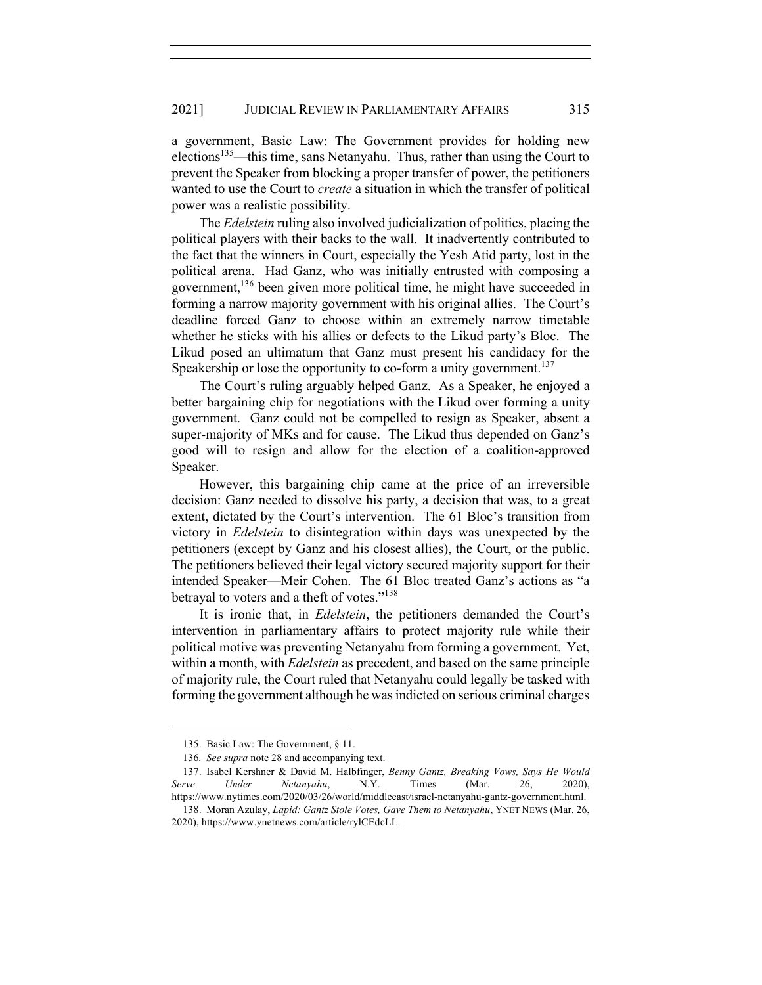a government, Basic Law: The Government provides for holding new elections<sup>135</sup>—this time, sans Netanyahu. Thus, rather than using the Court to prevent the Speaker from blocking a proper transfer of power, the petitioners wanted to use the Court to *create* a situation in which the transfer of political power was a realistic possibility.

The *Edelstein* ruling also involved judicialization of politics, placing the political players with their backs to the wall. It inadvertently contributed to the fact that the winners in Court, especially the Yesh Atid party, lost in the political arena. Had Ganz, who was initially entrusted with composing a government,136 been given more political time, he might have succeeded in forming a narrow majority government with his original allies. The Court's deadline forced Ganz to choose within an extremely narrow timetable whether he sticks with his allies or defects to the Likud party's Bloc. The Likud posed an ultimatum that Ganz must present his candidacy for the Speakership or lose the opportunity to co-form a unity government.<sup>137</sup>

The Court's ruling arguably helped Ganz. As a Speaker, he enjoyed a better bargaining chip for negotiations with the Likud over forming a unity government. Ganz could not be compelled to resign as Speaker, absent a super-majority of MKs and for cause. The Likud thus depended on Ganz's good will to resign and allow for the election of a coalition-approved Speaker.

However, this bargaining chip came at the price of an irreversible decision: Ganz needed to dissolve his party, a decision that was, to a great extent, dictated by the Court's intervention. The 61 Bloc's transition from victory in *Edelstein* to disintegration within days was unexpected by the petitioners (except by Ganz and his closest allies), the Court, or the public. The petitioners believed their legal victory secured majority support for their intended Speaker—Meir Cohen. The 61 Bloc treated Ganz's actions as "a betrayal to voters and a theft of votes."<sup>138</sup>

It is ironic that, in *Edelstein*, the petitioners demanded the Court's intervention in parliamentary affairs to protect majority rule while their political motive was preventing Netanyahu from forming a government. Yet, within a month, with *Edelstein* as precedent, and based on the same principle of majority rule, the Court ruled that Netanyahu could legally be tasked with forming the government although he was indicted on serious criminal charges

<sup>135.</sup> Basic Law: The Government, § 11.

<sup>136</sup>*. See supra* note 28 and accompanying text.

<sup>137.</sup> Isabel Kershner & David M. Halbfinger, *Benny Gantz, Breaking Vows, Says He Would Serve Under Netanyahu*, N.Y. Times (Mar. 26, 2020), https://www.nytimes.com/2020/03/26/world/middleeast/israel-netanyahu-gantz-government.html.

<sup>138.</sup> Moran Azulay, *Lapid: Gantz Stole Votes, Gave Them to Netanyahu*, YNET NEWS (Mar. 26, 2020), https://www.ynetnews.com/article/rylCEdcLL.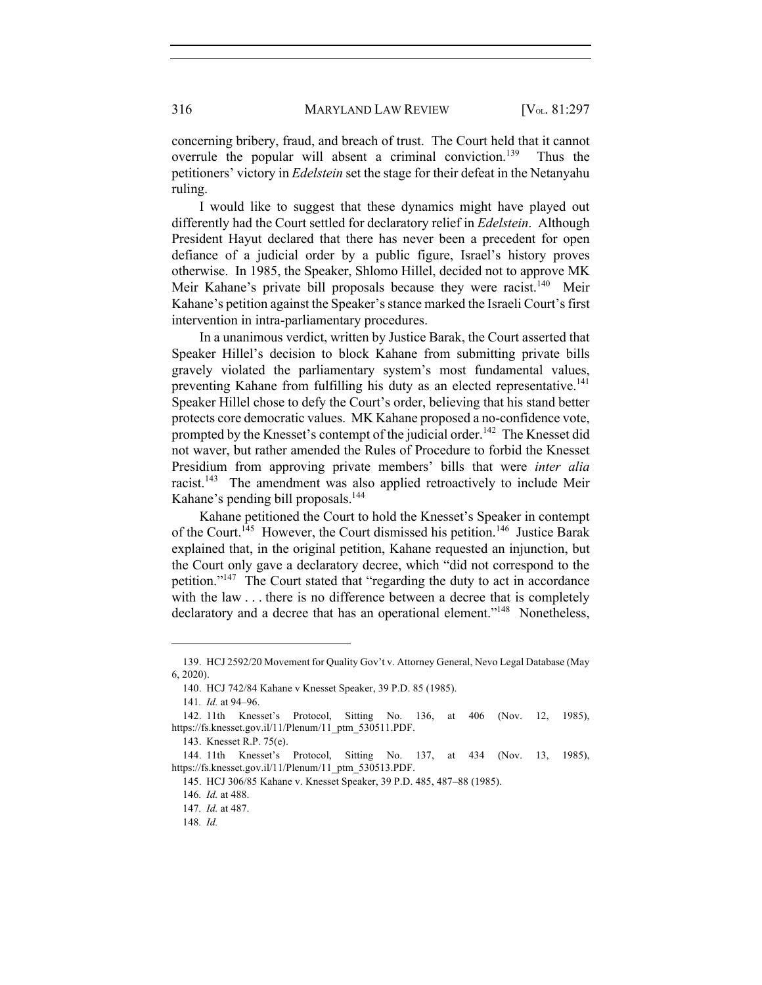concerning bribery, fraud, and breach of trust. The Court held that it cannot overrule the popular will absent a criminal conviction.<sup>139</sup> Thus the petitioners' victory in *Edelstein* set the stage for their defeat in the Netanyahu ruling.

I would like to suggest that these dynamics might have played out differently had the Court settled for declaratory relief in *Edelstein*. Although President Hayut declared that there has never been a precedent for open defiance of a judicial order by a public figure, Israel's history proves otherwise. In 1985, the Speaker, Shlomo Hillel, decided not to approve MK Meir Kahane's private bill proposals because they were racist.<sup>140</sup> Meir Kahane's petition against the Speaker's stance marked the Israeli Court's first intervention in intra-parliamentary procedures.

In a unanimous verdict, written by Justice Barak, the Court asserted that Speaker Hillel's decision to block Kahane from submitting private bills gravely violated the parliamentary system's most fundamental values, preventing Kahane from fulfilling his duty as an elected representative.<sup>141</sup> Speaker Hillel chose to defy the Court's order, believing that his stand better protects core democratic values. MK Kahane proposed a no-confidence vote, prompted by the Knesset's contempt of the judicial order.<sup>142</sup> The Knesset did not waver, but rather amended the Rules of Procedure to forbid the Knesset Presidium from approving private members' bills that were *inter alia* racist.<sup>143</sup> The amendment was also applied retroactively to include Meir Kahane's pending bill proposals.<sup>144</sup>

Kahane petitioned the Court to hold the Knesset's Speaker in contempt of the Court.<sup>145</sup> However, the Court dismissed his petition.<sup>146</sup> Justice Barak explained that, in the original petition, Kahane requested an injunction, but the Court only gave a declaratory decree, which "did not correspond to the petition."147 The Court stated that "regarding the duty to act in accordance with the law . . . there is no difference between a decree that is completely declaratory and a decree that has an operational element."<sup>148</sup> Nonetheless,

<sup>139.</sup> HCJ 2592/20 Movement for Quality Gov't v. Attorney General, Nevo Legal Database (May 6, 2020).

<sup>140.</sup> HCJ 742/84 Kahane v Knesset Speaker, 39 P.D. 85 (1985).

<sup>141</sup>*. Id.* at 94–96.

<sup>142.</sup> 11th Knesset's Protocol, Sitting No. 136, at 406 (Nov. 12, 1985), https://fs.knesset.gov.il/11/Plenum/11\_ptm\_530511.PDF.

<sup>143.</sup> Knesset R.P. 75(e).

<sup>144.</sup> 11th Knesset's Protocol, Sitting No. 137, at 434 (Nov. 13, 1985), https://fs.knesset.gov.il/11/Plenum/11\_ptm\_530513.PDF.

<sup>145.</sup> HCJ 306/85 Kahane v. Knesset Speaker, 39 P.D. 485, 487–88 (1985).

<sup>146</sup>*. Id.* at 488.

<sup>147</sup>*. Id.* at 487.

<sup>148</sup>*. Id.*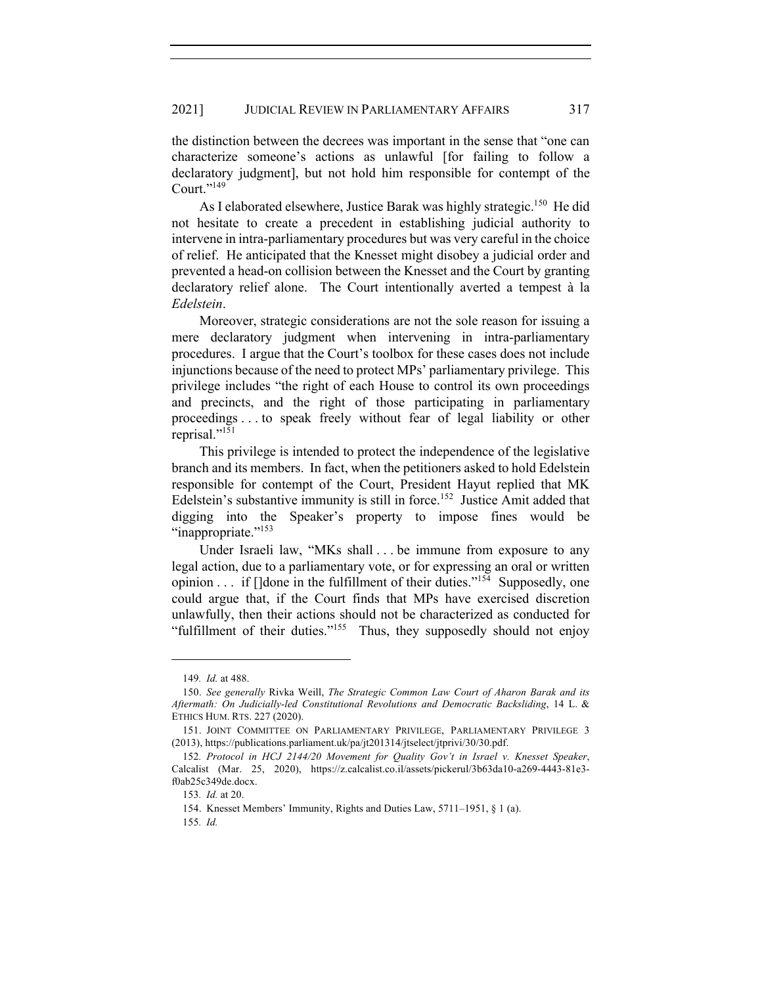the distinction between the decrees was important in the sense that "one can characterize someone's actions as unlawful [for failing to follow a declaratory judgment], but not hold him responsible for contempt of the Court." $^{149}$ 

As I elaborated elsewhere, Justice Barak was highly strategic.<sup>150</sup> He did not hesitate to create a precedent in establishing judicial authority to intervene in intra-parliamentary procedures but was very careful in the choice of relief. He anticipated that the Knesset might disobey a judicial order and prevented a head-on collision between the Knesset and the Court by granting declaratory relief alone. The Court intentionally averted a tempest à la *Edelstein*.

Moreover, strategic considerations are not the sole reason for issuing a mere declaratory judgment when intervening in intra-parliamentary procedures. I argue that the Court's toolbox for these cases does not include injunctions because of the need to protect MPs' parliamentary privilege. This privilege includes "the right of each House to control its own proceedings and precincts, and the right of those participating in parliamentary proceedings . . . to speak freely without fear of legal liability or other reprisal."<sup>151</sup>

This privilege is intended to protect the independence of the legislative branch and its members. In fact, when the petitioners asked to hold Edelstein responsible for contempt of the Court, President Hayut replied that MK Edelstein's substantive immunity is still in force.<sup>152</sup> Justice Amit added that digging into the Speaker's property to impose fines would be "inappropriate."<sup>153</sup>

Under Israeli law, "MKs shall . . . be immune from exposure to any legal action, due to a parliamentary vote, or for expressing an oral or written opinion  $\ldots$  if []done in the fulfillment of their duties."<sup>154</sup> Supposedly, one could argue that, if the Court finds that MPs have exercised discretion unlawfully, then their actions should not be characterized as conducted for "fulfillment of their duties."155 Thus, they supposedly should not enjoy

<sup>149</sup>*. Id.* at 488.

<sup>150.</sup> *See generally* Rivka Weill, *The Strategic Common Law Court of Aharon Barak and its Aftermath: On Judicially-led Constitutional Revolutions and Democratic Backsliding*, 14 L. & ETHICS HUM. RTS. 227 (2020).

<sup>151.</sup> JOINT COMMITTEE ON PARLIAMENTARY PRIVILEGE, PARLIAMENTARY PRIVILEGE 3 (2013), https://publications.parliament.uk/pa/jt201314/jtselect/jtprivi/30/30.pdf.

<sup>152</sup>*. Protocol in HCJ 2144/20 Movement for Quality Gov't in Israel v. Knesset Speaker*, Calcalist (Mar. 25, 2020), https://z.calcalist.co.il/assets/pickerul/3b63da10-a269-4443-81e3 f0ab25c349de.docx.

<sup>153</sup>*. Id.* at 20.

<sup>154.</sup> Knesset Members' Immunity, Rights and Duties Law, 5711–1951, § 1 (a).

<sup>155</sup>*. Id.*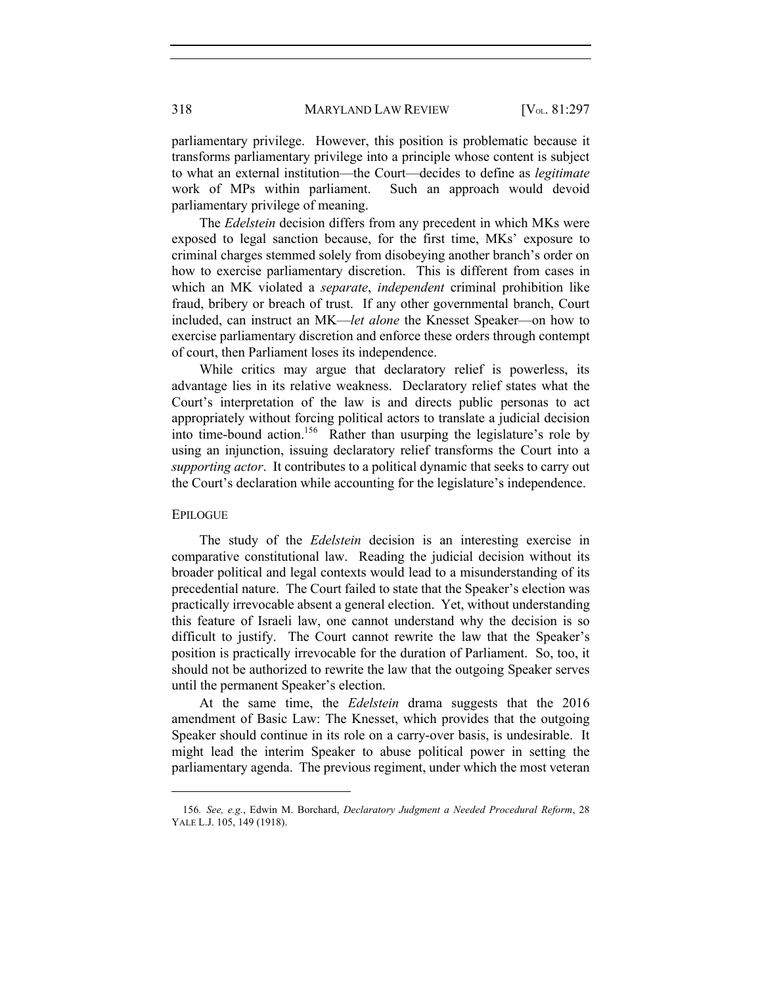318 MARYLAND LAW REVIEW [V<sub>OL.</sub> 81:297

parliamentary privilege. However, this position is problematic because it transforms parliamentary privilege into a principle whose content is subject to what an external institution—the Court—decides to define as *legitimate* work of MPs within parliament. Such an approach would devoid parliamentary privilege of meaning.

The *Edelstein* decision differs from any precedent in which MKs were exposed to legal sanction because, for the first time, MKs' exposure to criminal charges stemmed solely from disobeying another branch's order on how to exercise parliamentary discretion. This is different from cases in which an MK violated a *separate*, *independent* criminal prohibition like fraud, bribery or breach of trust. If any other governmental branch, Court included, can instruct an MK—*let alone* the Knesset Speaker—on how to exercise parliamentary discretion and enforce these orders through contempt of court, then Parliament loses its independence.

While critics may argue that declaratory relief is powerless, its advantage lies in its relative weakness. Declaratory relief states what the Court's interpretation of the law is and directs public personas to act appropriately without forcing political actors to translate a judicial decision into time-bound action.156 Rather than usurping the legislature's role by using an injunction, issuing declaratory relief transforms the Court into a *supporting actor*. It contributes to a political dynamic that seeks to carry out the Court's declaration while accounting for the legislature's independence.

#### EPILOGUE

The study of the *Edelstein* decision is an interesting exercise in comparative constitutional law. Reading the judicial decision without its broader political and legal contexts would lead to a misunderstanding of its precedential nature. The Court failed to state that the Speaker's election was practically irrevocable absent a general election. Yet, without understanding this feature of Israeli law, one cannot understand why the decision is so difficult to justify. The Court cannot rewrite the law that the Speaker's position is practically irrevocable for the duration of Parliament. So, too, it should not be authorized to rewrite the law that the outgoing Speaker serves until the permanent Speaker's election.

At the same time, the *Edelstein* drama suggests that the 2016 amendment of Basic Law: The Knesset, which provides that the outgoing Speaker should continue in its role on a carry-over basis, is undesirable. It might lead the interim Speaker to abuse political power in setting the parliamentary agenda. The previous regiment, under which the most veteran

<sup>156</sup>*. See, e.g.*, Edwin M. Borchard, *Declaratory Judgment a Needed Procedural Reform*, 28 YALE L.J. 105, 149 (1918).